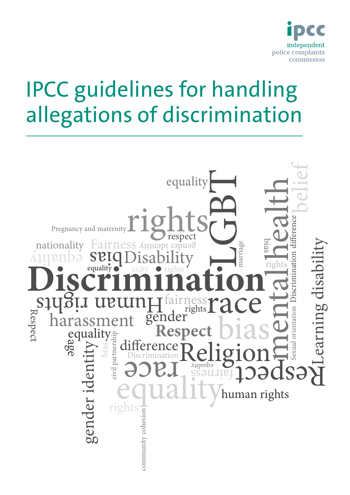

# IPCC guidelines for handling allegations of discrimination

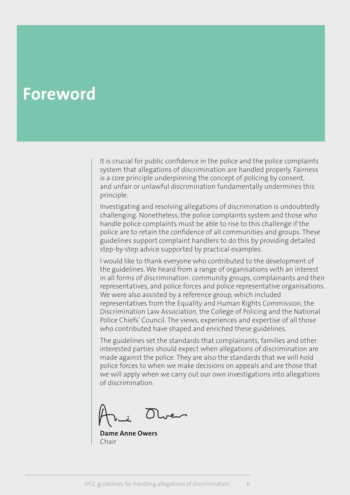# <span id="page-1-0"></span>**Foreword**

It is crucial for public confidence in the police and the police complaints system that allegations of discrimination are handled properly. Fairness is a core principle underpinning the concept of policing by consent, and unfair or unlawful discrimination fundamentally undermines this principle.

Investigating and resolving allegations of discrimination is undoubtedly challenging. Nonetheless, the police complaints system and those who handle police complaints must be able to rise to this challenge if the police are to retain the confidence of all communities and groups. These guidelines support complaint handlers to do this by providing detailed step-by-step advice supported by practical examples.

I would like to thank everyone who contributed to the development of the guidelines. We heard from a range of organisations with an interest in all forms of discrimination: community groups, complainants and their representatives, and police forces and police representative organisations. We were also assisted by a reference group, which included representatives from the Equality and Human Rights Commission, the Discrimination Law Association, the College of Policing and the National Police Chiefs' Council. The views, experiences and expertise of all those who contributed have shaped and enriched these guidelines.

The guidelines set the standards that complainants, families and other interested parties should expect when allegations of discrimination are made against the police. They are also the standards that we will hold police forces to when we make decisions on appeals and are those that we will apply when we carry out our own investigations into allegations of discrimination.

**Dame Anne Owers** Chair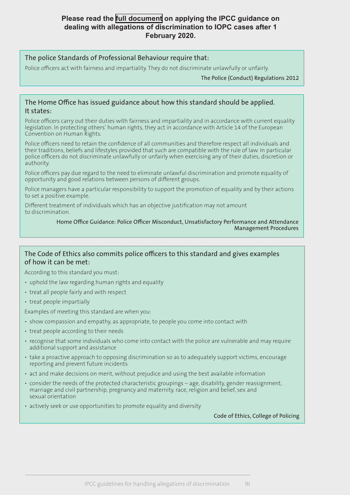#### **Please read the [full document](https://policeconduct.gov.uk/sites/default/files/Documents/research-learning/IOPC_discrimination_guidelines_updated_March_2020.pdf) on applying the IPCC guidance on dealing with allegations of discrimination to IOPC cases after 1 February 2020.**

#### The police Standards of Professional Behaviour require that:

Police officers act with fairness and impartiality. They do not discriminate unlawfully or unfairly.

The Police (Conduct) Regulations 2012

#### The Home Office has issued guidance about how this standard should be applied. It states:

Police officers carry out their duties with fairness and impartiality and in accordance with current equality legislation. In protecting others' human rights, they act in accordance with Article 14 of the European Convention on Human Rights.

Police officers need to retain the confidence of all communities and therefore respect all individuals and their traditions, beliefs and lifestyles provided that such are compatible with the rule of law. In particular police officers do not discriminate unlawfully or unfairly when exercising any of their duties, discretion or authority.

Police officers pay due regard to the need to eliminate unlawful discrimination and promote equality of opportunity and good relations between persons of different groups.

Police managers have a particular responsibility to support the promotion of equality and by their actions to set a positive example.

Different treatment of individuals which has an objective justification may not amount to discrimination.

#### Home Office Guidance: Police Officer Misconduct, Unsatisfactory Performance and Attendance Management Procedures

#### The Code of Ethics also commits police officers to this standard and gives examples of how it can be met:

According to this standard you must:

- uphold the law regarding human rights and equality
- treat all people fairly and with respect
- treat people impartially

Examples of meeting this standard are when you:

- show compassion and empathy, as appropriate, to people you come into contact with
- treat people according to their needs
- recognise that some individuals who come into contact with the police are vulnerable and may require additional support and assistance
- take a proactive approach to opposing discrimination so as to adequately support victims, encourage reporting and prevent future incidents
- act and make decisions on merit, without prejudice and using the best available information
- consider the needs of the protected characteristic groupings age, disability, gender reassignment, marriage and civil partnership, pregnancy and maternity, race, religion and belief, sex and sexual orientation
- actively seek or use opportunities to promote equality and diversity

Code of Ethics, College of Policing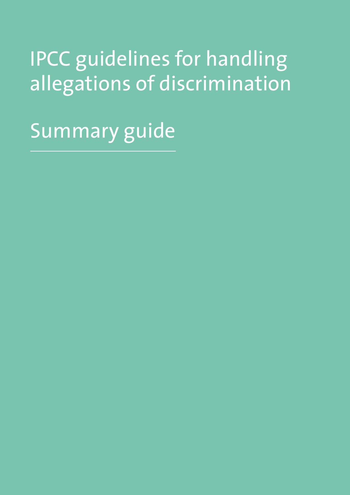# <span id="page-3-0"></span>IPCC guidelines for handling allegations of discrimination

Summary guide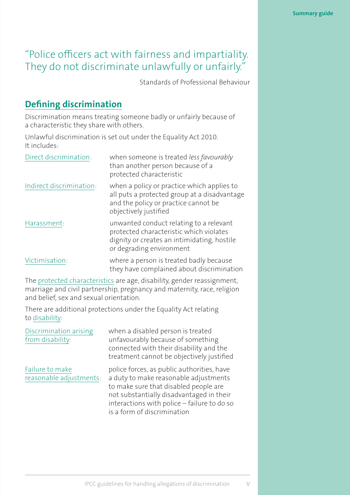# "Police officers act with fairness and impartiality. They do not discriminate unlawfully or unfairly."

Standards of Professional Behaviour

# **[Defining discrimination](#page-12-0)**

Discrimination means treating someone badly or unfairly because of a characteristic they share with others.

Unlawful discrimination is set out under the Equality Act 2010. It includes:

| Direct discrimination:   | when someone is treated less favourably<br>than another person because of a<br>protected characteristic                                                       |
|--------------------------|---------------------------------------------------------------------------------------------------------------------------------------------------------------|
| Indirect discrimination: | when a policy or practice which applies to<br>all puts a protected group at a disadvantage<br>and the policy or practice cannot be<br>objectively justified   |
| Harassment:              | unwanted conduct relating to a relevant<br>protected characteristic which violates<br>dignity or creates an intimidating, hostile<br>or degrading environment |
| Victimisation:           | where a person is treated badly because<br>they have complained about discrimination                                                                          |

The [protected characteristics](#page-13-0) are age, disability, gender reassignment, marriage and civil partnership, pregnancy and maternity, race, religion and belief, sex and sexual orientation.

There are additional protections under the Equality Act relating to [disability](#page-74-0):

| Discrimination arising<br>from disability: | when a disabled person is treated<br>unfavourably because of something<br>connected with their disability and the<br>treatment cannot be objectively justified                                                                                         |
|--------------------------------------------|--------------------------------------------------------------------------------------------------------------------------------------------------------------------------------------------------------------------------------------------------------|
| Failure to make<br>reasonable adjustments: | police forces, as public authorities, have<br>a duty to make reasonable adjustments<br>to make sure that disabled people are<br>not substantially disadvantaged in their<br>interactions with police - failure to do so<br>is a form of discrimination |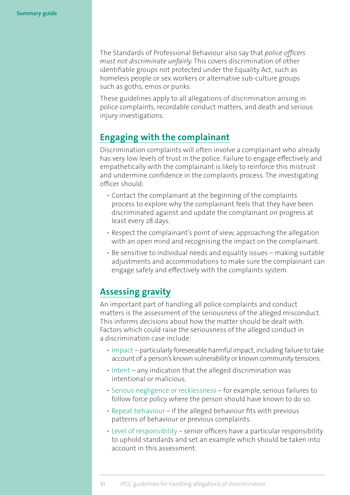The Standards of Professional Behaviour also say that *police officers must not discriminate [unfairly.](#page-12-1)* This covers discrimination of other identifiable groups not protected under the Equality Act, such as homeless people or sex workers or alternative sub-culture groups such as goths, emos or punks.

These guidelines apply to all allegations of discrimination arising in police complaints, recordable conduct matters, and death and serious injury investigations.

## **[Engaging with the complainant](#page-19-0)**

Discrimination complaints will often involve a complainant who already has very low levels of trust in the police. Failure to engage effectively and empathetically with the complainant is likely to reinforce this mistrust and undermine confidence in the complaints process. The investigating officer should:

- Contact the complainant at the beginning of the complaints process to explore why the complainant feels that they have been discriminated against and update the complainant on progress at least every 28 days.
- Respect the complainant's point of view, approaching the allegation with an open mind and recognising the impact on the complainant.
- Be sensitive to individual needs and equality issues making suitable adjustments and accommodations to make sure the complainant can engage safely and effectively with the complaints system.

# **[Assessing gravity](#page-23-0)**

An important part of handling all police complaints and conduct matters is the assessment of the seriousness of the alleged misconduct. This informs decisions about how the matter should be dealt with. Factors which could raise the seriousness of the alleged conduct in a discrimination case include:

- Impact particularly foreseeable harmful impact, including failure to take account of a person's known vulnerability or known community tensions.
- Intent any indication that the alleged discrimination was intentional or malicious.
- Serious negligence or recklessness for example, serious failures to follow force policy where the person should have known to do so.
- Repeat behaviour if the alleged behaviour fits with previous patterns of behaviour or previous complaints.
- Level of responsibility senior officers have a particular responsibility to uphold standards and set an example which should be taken into account in this assessment.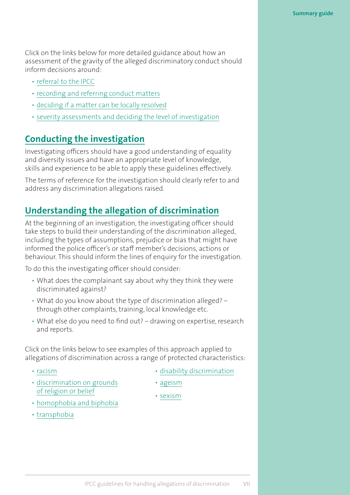Click on the links below for more detailed guidance about how an assessment of the gravity of the alleged discriminatory conduct should inform decisions around:

- [referral to the IPCC](#page-24-0)
- [recording and referring conduct matters](#page-26-0)
- [deciding if a matter can be locally resolved](#page-30-0)
- [severity assessments and deciding the level of investigation](#page-32-0)

# **[Conducting the investigation](#page-49-0)**

Investigating officers should have a good understanding of equality and diversity issues and have an appropriate level of knowledge, skills and experience to be able to apply these guidelines effectively.

The terms of reference for the investigation should clearly refer to and address any discrimination allegations raised.

# **[Understanding the allegation of discrimination](#page-35-0)**

At the beginning of an investigation, the investigating officer should take steps to build their understanding of the discrimination alleged, including the types of assumptions, prejudice or bias that might have informed the police officer's or staff member's decisions, actions or behaviour. This should inform the lines of enquiry for the investigation.

To do this the investigating officer should consider:

- What does the complainant say about why they think they were discriminated against?
- What do you know about the type of discrimination alleged? through other complaints, training, local knowledge etc.
- What else do you need to find out? drawing on expertise, research and reports.

Click on the links below to see examples of this approach applied to allegations of discrimination across a range of protected characteristics:

- [racism](#page-37-0)
- [discrimination on grounds](#page-41-0) of religion or belief
- [homophobia and biphobia](#page-42-0)
- [transphobia](#page-43-0)
- [disability discrimination](#page-45-0)
- [ageism](#page-46-0)
- [sexism](#page-47-0)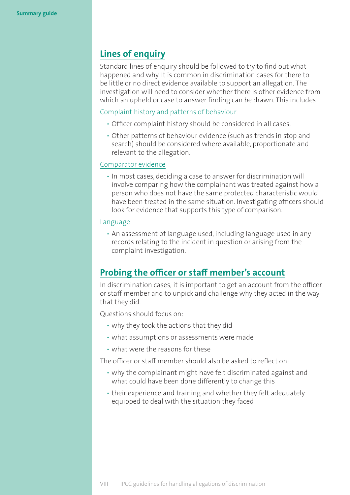# **[Lines of enquiry](#page-49-0)**

Standard lines of enquiry should be followed to try to find out what happened and why. It is common in discrimination cases for there to be little or no direct evidence available to support an allegation. The investigation will need to consider whether there is other evidence from which an upheld or case to answer finding can be drawn. This includes:

#### [Complaint history and patterns of behaviour](#page-50-0)

- Officer complaint history should be considered in all cases.
- Other patterns of behaviour evidence (such as trends in stop and search) should be considered where available, proportionate and relevant to the allegation.

#### [Comparator evidence](#page-53-0)

• In most cases, deciding a case to answer for discrimination will involve comparing how the complainant was treated against how a person who does not have the same protected characteristic would have been treated in the same situation. Investigating officers should look for evidence that supports this type of comparison.

#### [Language](#page-57-0)

• An assessment of language used, including language used in any records relating to the incident in question or arising from the complaint investigation.

# **[Probing the officer or staff member's account](#page-59-0)**

In discrimination cases, it is important to get an account from the officer or staff member and to unpick and challenge why they acted in the way that they did.

Questions should focus on:

- why they took the actions that they did
- what assumptions or assessments were made
- what were the reasons for these

The officer or staff member should also be asked to reflect on:

- why the complainant might have felt discriminated against and what could have been done differently to change this
- their experience and training and whether they felt adequately equipped to deal with the situation they faced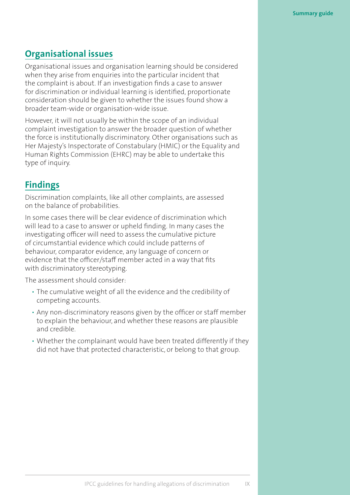# **[Organisational issues](#page-63-0)**

Organisational issues and organisation learning should be considered when they arise from enquiries into the particular incident that the complaint is about. If an investigation finds a case to answer for discrimination or individual learning is identified, proportionate consideration should be given to whether the issues found show a broader team-wide or organisation-wide issue.

However, it will not usually be within the scope of an individual complaint investigation to answer the broader question of whether the force is institutionally discriminatory. Other organisations such as Her Majesty's Inspectorate of Constabulary (HMIC) or the Equality and Human Rights Commission (EHRC) may be able to undertake this type of inquiry.

# **[Findings](#page-66-0)**

Discrimination complaints, like all other complaints, are assessed on the balance of probabilities.

In some cases there will be clear evidence of discrimination which will lead to a case to answer or upheld finding. In many cases the investigating officer will need to assess the cumulative picture of circumstantial evidence which could include patterns of behaviour, comparator evidence, any language of concern or evidence that the officer/staff member acted in a way that fits with discriminatory stereotyping.

The assessment should consider:

- The cumulative weight of all the evidence and the credibility of competing accounts.
- Any non-discriminatory reasons given by the officer or staff member to explain the behaviour, and whether these reasons are plausible and credible.
- Whether the complainant would have been treated differently if they did not have that protected characteristic, or belong to that group.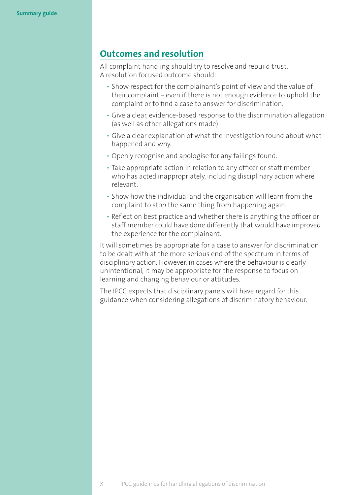## **[Outcomes and resolution](#page-71-0)**

All complaint handling should try to resolve and rebuild trust. A resolution focused outcome should:

- Show respect for the complainant's point of view and the value of their complaint – even if there is not enough evidence to uphold the complaint or to find a case to answer for discrimination.
- Give a clear, evidence-based response to the discrimination allegation (as well as other allegations made).
- Give a clear explanation of what the investigation found about what happened and why.
- Openly recognise and apologise for any failings found.
- Take appropriate action in relation to any officer or staff member who has acted inappropriately, including disciplinary action where relevant.
- Show how the individual and the organisation will learn from the complaint to stop the same thing from happening again.
- Reflect on best practice and whether there is anything the officer or staff member could have done differently that would have improved the experience for the complainant.

It will sometimes be appropriate for a case to answer for discrimination to be dealt with at the more serious end of the spectrum in terms of disciplinary action. However, in cases where the behaviour is clearly unintentional, it may be appropriate for the response to focus on learning and changing behaviour or attitudes.

The IPCC expects that disciplinary panels will have regard for this guidance when considering allegations of discriminatory behaviour.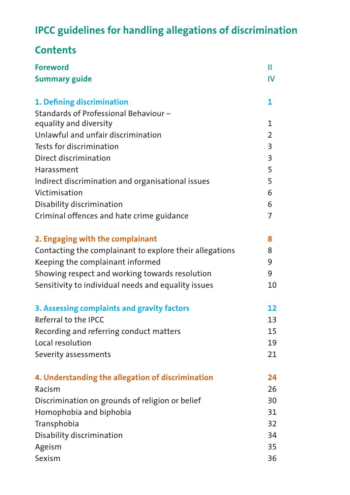# **IPCC guidelines for handling allegations of discrimination**

# **Contents**

| <b>Foreword</b>                                         | Ш              |
|---------------------------------------------------------|----------------|
| <b>Summary guide</b>                                    | $\mathsf{IV}$  |
| 1. Defining discrimination                              | 1              |
| Standards of Professional Behaviour-                    |                |
| equality and diversity                                  | 1              |
| Unlawful and unfair discrimination                      |                |
| Tests for discrimination                                | $\overline{3}$ |
| Direct discrimination                                   | $\overline{3}$ |
| Harassment                                              | 5              |
| Indirect discrimination and organisational issues       |                |
| Victimisation                                           | 6              |
| Disability discrimination                               | 6              |
| Criminal offences and hate crime guidance               | $\overline{7}$ |
| 2. Engaging with the complainant                        | 8              |
| Contacting the complainant to explore their allegations |                |
| Keeping the complainant informed                        | 9              |
| Showing respect and working towards resolution          | 9              |
| Sensitivity to individual needs and equality issues     | 10             |
| 3. Assessing complaints and gravity factors             | 12             |
| Referral to the IPCC                                    | 13             |
| Recording and referring conduct matters                 | 15             |
| Local resolution                                        | 19             |
| Severity assessments                                    | 21             |
| 4. Understanding the allegation of discrimination       | 24             |
| Racism                                                  | 26             |
| Discrimination on grounds of religion or belief         | 30             |
| Homophobia and biphobia                                 | 31             |
| Transphobia                                             | 32             |
| Disability discrimination                               | 34             |
| Ageism                                                  | 35             |
| Sexism                                                  | 36             |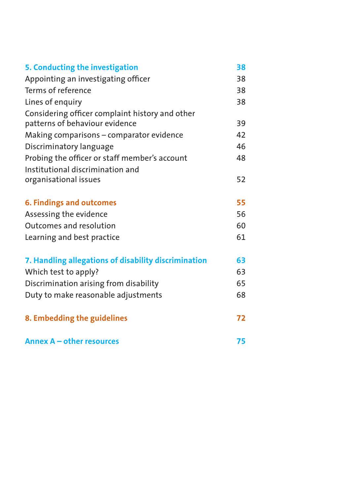| 5. Conducting the investigation                      | 38       |
|------------------------------------------------------|----------|
| Appointing an investigating officer                  |          |
| Terms of reference                                   | 38<br>38 |
| Lines of enquiry                                     | 38       |
| Considering officer complaint history and other      |          |
| patterns of behaviour evidence                       | 39       |
| Making comparisons - comparator evidence             | 42       |
| Discriminatory language                              | 46       |
| Probing the officer or staff member's account        | 48       |
| Institutional discrimination and                     |          |
| organisational issues                                | 52       |
| <b>6. Findings and outcomes</b>                      | 55       |
| Assessing the evidence                               | 56       |
| Outcomes and resolution                              | 60       |
| Learning and best practice                           | 61       |
| 7. Handling allegations of disability discrimination | 63       |
| Which test to apply?                                 | 63       |
| Discrimination arising from disability               | 65       |
| Duty to make reasonable adjustments                  | 68       |
| 8. Embedding the guidelines                          | 72       |
| Annex A - other resources                            | 75       |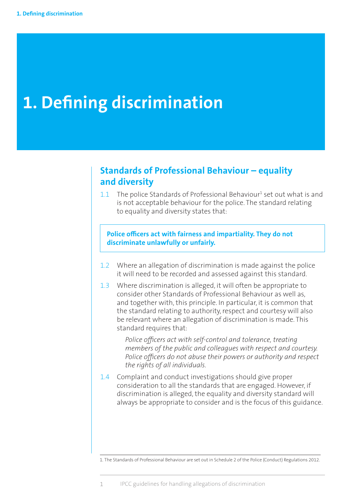# <span id="page-12-0"></span>**1. Defining discrimination**

# **Standards of Professional Behaviour – equality and diversity**

 $1.1$  The police Standards of Professional Behaviour<sup>1</sup> set out what is and is not acceptable behaviour for the police. The standard relating to equality and diversity states that:

#### **Police officers act with fairness and impartiality. They do not discriminate unlawfully or unfairly.**

- 1.2 Where an allegation of discrimination is made against the police it will need to be recorded and assessed against this standard.
- 1.3 Where discrimination is alleged, it will often be appropriate to consider other Standards of Professional Behaviour as well as, and together with, this principle. In particular, it is common that the standard relating to authority, respect and courtesy will also be relevant where an allegation of discrimination is made. This standard requires that:

*Police officers act with self-control and tolerance, treating members of the public and colleagues with respect and courtesy. Police officers do not abuse their powers or authority and respect the rights of all individuals.*

1.4 Complaint and conduct investigations should give proper consideration to all the standards that are engaged. However, if discrimination is alleged, the equality and diversity standard will always be appropriate to consider and is the focus of this guidance.

<span id="page-12-1"></span><sup>1.</sup> The Standards of Professional Behaviour are set out in Schedule 2 of the Police (Conduct) Regulations 2012.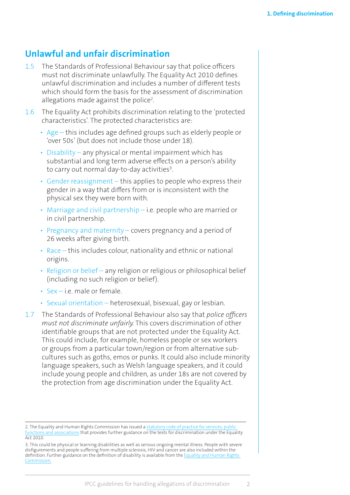## <span id="page-13-0"></span>**Unlawful and unfair discrimination**

- 1.5 The Standards of Professional Behaviour say that police officers must not discriminate unlawfully. The Equality Act 2010 defines unlawful discrimination and includes a number of different tests which should form the basis for the assessment of discrimination allegations made against the police<sup>2</sup>. .
- 1.6 The Equality Act prohibits discrimination relating to the 'protected characteristics'. The protected characteristics are:
	- Age this includes age defined groups such as elderly people or 'over 50s' (but does not include those under 18).
	- Disability any physical or mental impairment which has substantial and long term adverse effects on a person's ability to carry out normal day-to-day activities<sup>3</sup>. .
	- Gender reassignment this applies to people who express their gender in a way that differs from or is inconsistent with the physical sex they were born with.
	- Marriage and civil partnership i.e. people who are married or in civil partnership.
	- Pregnancy and maternity covers pregnancy and a period of 26 weeks after giving birth.
	- Race this includes colour, nationality and ethnic or national origins.
	- Religion or belief any religion or religious or philosophical belief (including no such religion or belief).
	- Sex i.e. male or female.
	- Sexual orientation heterosexual, bisexual, gay or lesbian.
- 1.7 The Standards of Professional Behaviour also say that *police officers must not discriminate unfairly.* This covers discrimination of other identifiable groups that are not protected under the Equality Act. This could include, for example, homeless people or sex workers or groups from a particular town/region or from alternative subcultures such as goths, emos or punks. It could also include minority language speakers, such as Welsh language speakers, and it could include young people and children, as under 18s are not covered by the protection from age discrimination under the Equality Act.

<sup>2.</sup> The Equality and Human Rights Commission has issued a statutory code of practice for services, public [functions and associations](http://www.equalityhumanrights.com/publication/services-public-functions-and-associations-statutory-code-practice) that provides further guidance on the tests for discrimination under the Equality Act 2010.

<sup>3.</sup> This could be physical or learning disabilities as well as serious ongoing mental illness. People with severe disfigurements and people suffering from multiple sclerosis, HIV and cancer are also included within the definition. Further guidance on the definition of disability is available from the [Equality and Human Rights](http://www.equalityhumanrights.com/your-rights/equal-rights/disability-0)  [Commission.](http://www.equalityhumanrights.com/your-rights/equal-rights/disability-0)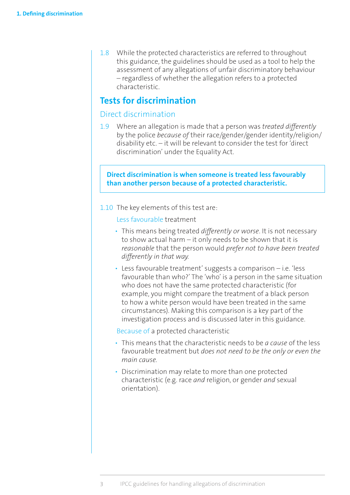<span id="page-14-0"></span>1.8 While the protected characteristics are referred to throughout this guidance, the guidelines should be used as a tool to help the assessment of any allegations of unfair discriminatory behaviour – regardless of whether the allegation refers to a protected characteristic.

### **Tests for discrimination**

#### Direct discrimination

1.9 Where an allegation is made that a person was *treated differently* by the police *because of* their race/gender/gender identity/religion/ disability etc. – it will be relevant to consider the test for 'direct discrimination' under the Equality Act.

**Direct discrimination is when someone is treated less favourably than another person because of a protected characteristic.**

1.10 The key elements of this test are:

Less favourable treatment

- This means being treated *differently or worse*. It is not necessary to show actual harm – it only needs to be shown that it is *reasonable* that the person would *prefer not to have been treated differently in that way.*
- Less favourable treatment' suggests a comparison i.e. 'less favourable than who?' The 'who' is a person in the same situation who does not have the same protected characteristic (for example, you might compare the treatment of a black person to how a white person would have been treated in the same circumstances). Making this comparison is a key part of the investigation process and is discussed later in this guidance.

Because of a protected characteristic

- This means that the characteristic needs to be *a cause* of the less favourable treatment but *does not need to be the only or even the main cause.*
- Discrimination may relate to more than one protected characteristic (e.g. race *and* religion, or gender *and* sexual orientation).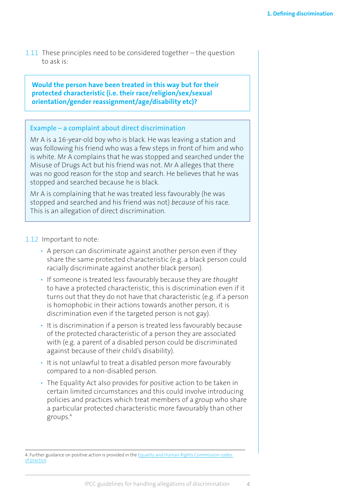1.11 These principles need to be considered together – the question to ask is:

**Would the person have been treated in this way but for their protected characteristic (i.e. their race/religion/sex/sexual orientation/gender reassignment/age/disability etc)?**

#### Example – a complaint about direct discrimination

Mr A is a 16-year-old boy who is black. He was leaving a station and was following his friend who was a few steps in front of him and who is white. Mr A complains that he was stopped and searched under the Misuse of Drugs Act but his friend was not. Mr A alleges that there was no good reason for the stop and search. He believes that he was stopped and searched because he is black.

Mr A is complaining that he was treated less favourably (he was stopped and searched and his friend was not) *because* of his race. This is an allegation of direct discrimination.

#### 1.12 Important to note:

- A person can discriminate against another person even if they share the same protected characteristic (e.g. a black person could racially discriminate against another black person).
- If someone is treated less favourably because they are *thought* to have a protected characteristic, this is discrimination even if it turns out that they do not have that characteristic (e.g. if a person is homophobic in their actions towards another person, it is discrimination even if the targeted person is not gay).
- It is discrimination if a person is treated less favourably because of the protected characteristic of a person they are associated with (e.g. a parent of a disabled person could be discriminated against because of their child's disability).
- It is not unlawful to treat a disabled person more favourably compared to a non-disabled person.
- The Equality Act also provides for positive action to be taken in certain limited circumstances and this could involve introducing policies and practices which treat members of a group who share a particular protected characteristic more favourably than other groups.4

<sup>4.</sup> Further guidance on positive action is provided in the Equality and Human Rights Commission codes [of practice.](http://www.equalityhumanrights.com/publication/services-public-functions-and-associations-statutory-code-practice)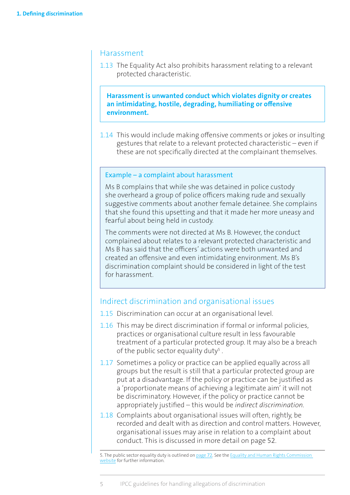#### <span id="page-16-0"></span>Harassment

1.13 The Equality Act also prohibits harassment relating to a relevant protected characteristic.

**Harassment is unwanted conduct which violates dignity or creates an intimidating, hostile, degrading, humiliating or offensive environment.**

1.14 This would include making offensive comments or jokes or insulting gestures that relate to a relevant protected characteristic – even if these are not specifically directed at the complainant themselves.

#### Example – a complaint about harassment

Ms B complains that while she was detained in police custody she overheard a group of police officers making rude and sexually suggestive comments about another female detainee. She complains that she found this upsetting and that it made her more uneasy and fearful about being held in custody.

The comments were not directed at Ms B. However, the conduct complained about relates to a relevant protected characteristic and Ms B has said that the officers' actions were both unwanted and created an offensive and even intimidating environment. Ms B's discrimination complaint should be considered in light of the test for harassment.

#### Indirect discrimination and organisational issues

- 1.15 Discrimination can occur at an organisational level.
- 1.16 This may be direct discrimination if formal or informal policies, practices or organisational culture result in less favourable treatment of a particular protected group. It may also be a breach of the public sector equality duty<sup>5</sup>.
- 1.17 Sometimes a policy or practice can be applied equally across all groups but the result is still that a particular protected group are put at a disadvantage. If the policy or practice can be justified as a 'proportionate means of achieving a legitimate aim' it will not be discriminatory. However, if the policy or practice cannot be appropriately justified – this would be *indirect discrimination.*
- 1.18 Complaints about organisational issues will often, rightly, be recorded and dealt with as direction and control matters. However, organisational issues may arise in relation to a complaint about conduct. This is discussed in more detail on page 52.

<sup>5.</sup> The public sector equality duty is outlined on [page](#page-83-0) 72. See the [Equality and Human Rights Commission](http://www.equalityhumanrights.com/private-and-public-sector-guidance/public-sector-providers/public-sector-equality-duty)  [website](http://www.equalityhumanrights.com/private-and-public-sector-guidance/public-sector-providers/public-sector-equality-duty) for further information.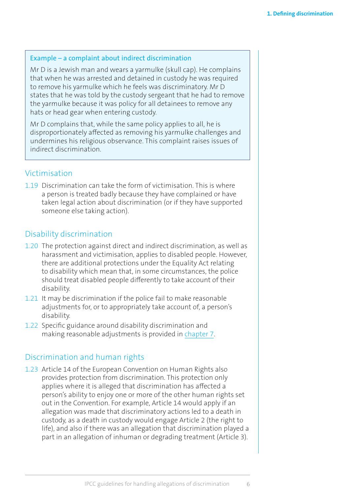#### <span id="page-17-0"></span>Example – a complaint about indirect discrimination

Mr D is a Jewish man and wears a yarmulke (skull cap). He complains that when he was arrested and detained in custody he was required to remove his yarmulke which he feels was discriminatory. Mr D states that he was told by the custody sergeant that he had to remove the yarmulke because it was policy for all detainees to remove any hats or head gear when entering custody.

Mr D complains that, while the same policy applies to all, he is disproportionately affected as removing his yarmulke challenges and undermines his religious observance. This complaint raises issues of indirect discrimination.

#### Victimisation

1.19 Discrimination can take the form of victimisation. This is where a person is treated badly because they have complained or have taken legal action about discrimination (or if they have supported someone else taking action).

#### Disability discrimination

- 1.20 The protection against direct and indirect discrimination, as well as harassment and victimisation, applies to disabled people. However, there are additional protections under the Equality Act relating to disability which mean that, in some circumstances, the police should treat disabled people differently to take account of their disability.
- 1.21 It may be discrimination if the police fail to make reasonable adjustments for, or to appropriately take account of, a person's disability.
- 1.22 Specific guidance around disability discrimination and making reasonable adjustments is provided in [chapter 7.](#page-74-0)

#### Discrimination and human rights

1.23 Article 14 of the European Convention on Human Rights also provides protection from discrimination. This protection only applies where it is alleged that discrimination has affected a person's ability to enjoy one or more of the other human rights set out in the Convention. For example, Article 14 would apply if an allegation was made that discriminatory actions led to a death in custody, as a death in custody would engage Article 2 (the right to life), and also if there was an allegation that discrimination played a part in an allegation of inhuman or degrading treatment (Article 3).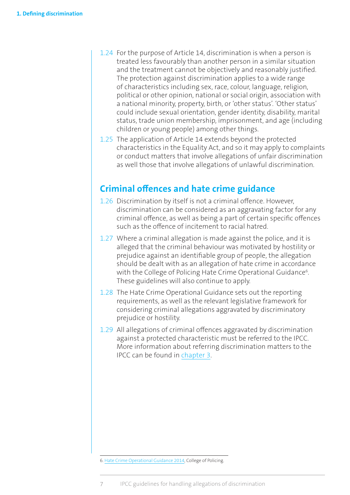- <span id="page-18-0"></span>1.24 For the purpose of Article 14, discrimination is when a person is treated less favourably than another person in a similar situation and the treatment cannot be objectively and reasonably justified. The protection against discrimination applies to a wide range of characteristics including sex, race, colour, language, religion, political or other opinion, national or social origin, association with a national minority, property, birth, or 'other status'. 'Other status' could include sexual orientation, gender identity, disability, marital status, trade union membership, imprisonment, and age (including children or young people) among other things.
- 1.25 The application of Article 14 extends beyond the protected characteristics in the Equality Act, and so it may apply to complaints or conduct matters that involve allegations of unfair discrimination as well those that involve allegations of unlawful discrimination.

## **Criminal offences and hate crime guidance**

- 1.26 Discrimination by itself is not a criminal offence. However, discrimination can be considered as an aggravating factor for any criminal offence, as well as being a part of certain specific offences such as the offence of incitement to racial hatred.
- 1.27 Where a criminal allegation is made against the police, and it is alleged that the criminal behaviour was motivated by hostility or prejudice against an identifiable group of people, the allegation should be dealt with as an allegation of hate crime in accordance with the College of Policing Hate Crime Operational Guidance<sup>6</sup>. These guidelines will also continue to apply.
- 1.28 The Hate Crime Operational Guidance sets out the reporting requirements, as well as the relevant legislative framework for considering criminal allegations aggravated by discriminatory prejudice or hostility.
- 1.29 All allegations of criminal offences aggravated by discrimination against a protected characteristic must be referred to the IPCC. More information about referring discrimination matters to the IPCC can be found in [chapter](#page-23-0) 3.

6. [Hate Crime Operational Guidance 2014,](http://library.college.police.uk/docs/college-of-policing/Hate-Crime-Operational-Guidance.pdf) College of Policing.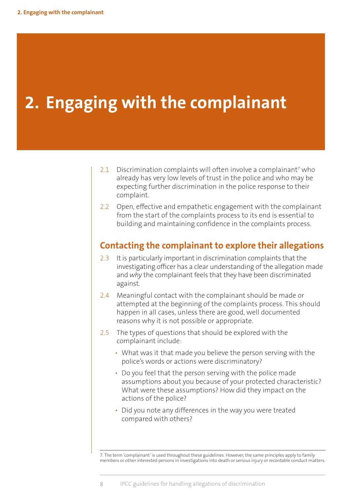# <span id="page-19-0"></span>**2. Engaging with the complainant**

- $2.1$  Discrimination complaints will often involve a complainant<sup>7</sup> who already has very low levels of trust in the police and who may be expecting further discrimination in the police response to their complaint.
- 2.2 Open, effective and empathetic engagement with the complainant from the start of the complaints process to its end is essential to building and maintaining confidence in the complaints process.

### **Contacting the complainant to explore their allegations**

- 2.3 It is particularly important in discrimination complaints that the investigating officer has a clear understanding of the allegation made and *why* the complainant feels that they have been discriminated against.
- 2.4 Meaningful contact with the complainant should be made or attempted at the beginning of the complaints process. This should happen in all cases, unless there are good, well documented reasons why it is not possible or appropriate.
- 2.5 The types of questions that should be explored with the complainant include:
	- What was it that made you believe the person serving with the police's words or actions were discriminatory?
	- Do you feel that the person serving with the police made assumptions about you because of your protected characteristic? What were these assumptions? How did they impact on the actions of the police?
	- Did you note any differences in the way you were treated compared with others?

7. The term 'complainant' is used throughout these guidelines. However, the same principles apply to family members or other interested persons in investigations into death or serious injury or recordable conduct matters.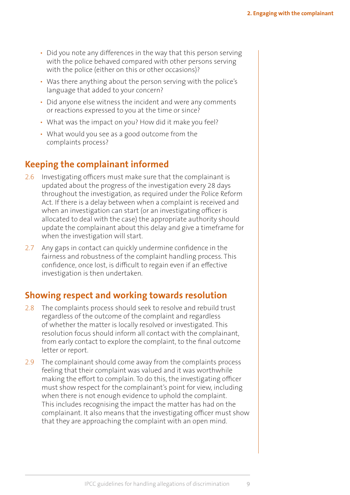- <span id="page-20-0"></span>• Did you note any differences in the way that this person serving with the police behaved compared with other persons serving with the police (either on this or other occasions)?
- Was there anything about the person serving with the police's language that added to your concern?
- Did anyone else witness the incident and were any comments or reactions expressed to you at the time or since?
- What was the impact on you? How did it make you feel?
- What would you see as a good outcome from the complaints process?

## **Keeping the complainant informed**

- 2.6 Investigating officers must make sure that the complainant is updated about the progress of the investigation every 28 days throughout the investigation, as required under the Police Reform Act. If there is a delay between when a complaint is received and when an investigation can start (or an investigating officer is allocated to deal with the case) the appropriate authority should update the complainant about this delay and give a timeframe for when the investigation will start.
- 2.7 Any gaps in contact can quickly undermine confidence in the fairness and robustness of the complaint handling process. This confidence, once lost, is difficult to regain even if an effective investigation is then undertaken.

# **Showing respect and working towards resolution**

- 2.8 The complaints process should seek to resolve and rebuild trust regardless of the outcome of the complaint and regardless of whether the matter is locally resolved or investigated. This resolution focus should inform all contact with the complainant, from early contact to explore the complaint, to the final outcome letter or report.
- 2.9 The complainant should come away from the complaints process feeling that their complaint was valued and it was worthwhile making the effort to complain. To do this, the investigating officer must show respect for the complainant's point for view, including when there is not enough evidence to uphold the complaint. This includes recognising the impact the matter has had on the complainant. It also means that the investigating officer must show that they are approaching the complaint with an open mind.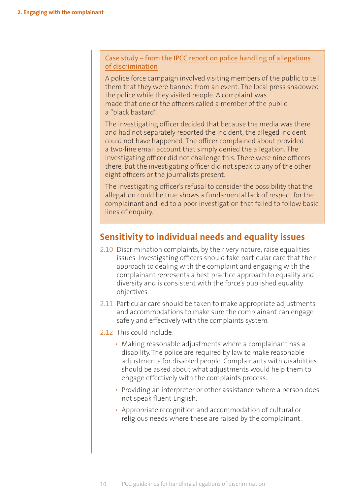#### <span id="page-21-0"></span>[Case study – from the IPCC report on police handling of allegations](http://www.ipcc.gov.uk/sites/default/files/Documents/guidelines_reports/IPCC_report_police_handling_of_allegations_of_discrimination_June2014.pdf)  [of discrimination](http://www.ipcc.gov.uk/sites/default/files/Documents/guidelines_reports/IPCC_report_police_handling_of_allegations_of_discrimination_June2014.pdf)

A police force campaign involved visiting members of the public to tell them that they were banned from an event. The local press shadowed the police while they visited people. A complaint was made that one of the officers called a member of the public a "black bastard".

The investigating officer decided that because the media was there and had not separately reported the incident, the alleged incident could not have happened. The officer complained about provided a two-line email account that simply denied the allegation. The investigating officer did not challenge this. There were nine officers there, but the investigating officer did not speak to any of the other eight officers or the journalists present.

The investigating officer's refusal to consider the possibility that the allegation could be true shows a fundamental lack of respect for the complainant and led to a poor investigation that failed to follow basic lines of enquiry.

### **Sensitivity to individual needs and equality issues**

- 2.10 Discrimination complaints, by their very nature, raise equalities issues. Investigating officers should take particular care that their approach to dealing with the complaint and engaging with the complainant represents a best practice approach to equality and diversity and is consistent with the force's published equality objectives.
- 2.11 Particular care should be taken to make appropriate adjustments and accommodations to make sure the complainant can engage safely and effectively with the complaints system.
- 2.12 This could include:
	- Making reasonable adjustments where a complainant has a disability. The police are required by law to make reasonable adjustments for disabled people. Complainants with disabilities should be asked about what adjustments would help them to engage effectively with the complaints process.
	- Providing an interpreter or other assistance where a person does not speak fluent English.
	- Appropriate recognition and accommodation of cultural or religious needs where these are raised by the complainant.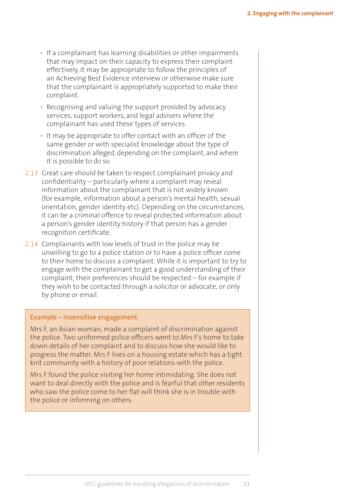- If a complainant has learning disabilities or other impairments that may impact on their capacity to express their complaint effectively, it may be appropriate to follow the principles of an Achieving Best Evidence interview or otherwise make sure that the complainant is appropriately supported to make their complaint.
- Recognising and valuing the support provided by advocacy services, support workers, and legal advisers where the complainant has used these types of services.
- It may be appropriate to offer contact with an officer of the same gender or with specialist knowledge about the type of discrimination alleged, depending on the complaint, and where it is possible to do so.
- 2.13 Great care should be taken to respect complainant privacy and confidentiality – particularly where a complaint may reveal information about the complainant that is not widely known (for example, information about a person's mental health, sexual orientation, gender identity etc). Depending on the circumstances, it can be a criminal offence to reveal protected information about a person's gender identity history if that person has a gender recognition certificate.
- 2.14 Complainants with low levels of trust in the police may be unwilling to go to a police station or to have a police officer come to their home to discuss a complaint. While it is important to try to engage with the complainant to get a good understanding of their complaint, their preferences should be respected – for example if they wish to be contacted through a solicitor or advocate, or only by phone or email.

#### Example – insensitive engagement

Mrs F, an Asian woman, made a complaint of discrimination against the police. Two uniformed police officers went to Mrs F's home to take down details of her complaint and to discuss how she would like to progress the matter. Mrs F lives on a housing estate which has a tight knit community with a history of poor relations with the police.

Mrs F found the police visiting her home intimidating. She does not want to deal directly with the police and is fearful that other residents who saw the police come to her flat will think she is in trouble with the police or informing on others.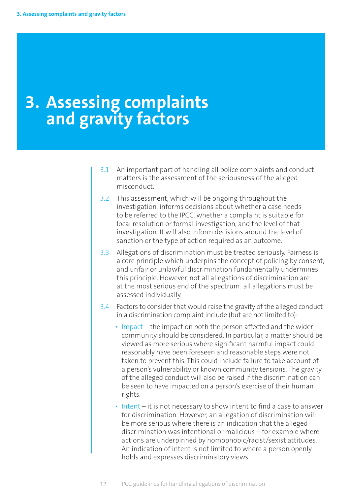# <span id="page-23-0"></span>**3. Assessing complaints and gravity factors**

- 3.1 An important part of handling all police complaints and conduct matters is the assessment of the seriousness of the alleged misconduct.
- 3.2 This assessment, which will be ongoing throughout the investigation, informs decisions about whether a case needs to be referred to the IPCC, whether a complaint is suitable for local resolution or formal investigation, and the level of that investigation. It will also inform decisions around the level of sanction or the type of action required as an outcome.
- 3.3 Allegations of discrimination must be treated seriously. Fairness is a core principle which underpins the concept of policing by consent, and unfair or unlawful discrimination fundamentally undermines this principle. However, not all allegations of discrimination are at the most serious end of the spectrum: all allegations must be assessed individually.
- 3.4 Factors to consider that would raise the gravity of the alleged conduct in a discrimination complaint include (but are not limited to):
	- Impact the impact on both the person affected and the wider community should be considered. In particular, a matter should be viewed as more serious where significant harmful impact could reasonably have been foreseen and reasonable steps were not taken to prevent this. This could include failure to take account of a person's vulnerability or known community tensions. The gravity of the alleged conduct will also be raised if the discrimination can be seen to have impacted on a person's exercise of their human rights.
	- Intent it is not necessary to show intent to find a case to answer for discrimination. However, an allegation of discrimination will be more serious where there is an indication that the alleged discrimination was intentional or malicious – for example where actions are underpinned by homophobic/racist/sexist attitudes. An indication of intent is not limited to where a person openly holds and expresses discriminatory views.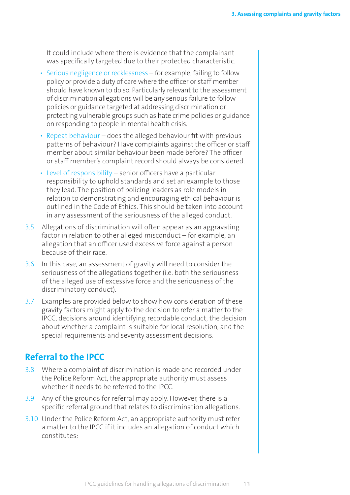<span id="page-24-0"></span>It could include where there is evidence that the complainant was specifically targeted due to their protected characteristic.

- Serious negligence or recklessness for example, failing to follow policy or provide a duty of care where the officer or staff member should have known to do so. Particularly relevant to the assessment of discrimination allegations will be any serious failure to follow policies or guidance targeted at addressing discrimination or protecting vulnerable groups such as hate crime policies or guidance on responding to people in mental health crisis.
- Repeat behaviour does the alleged behaviour fit with previous patterns of behaviour? Have complaints against the officer or staff member about similar behaviour been made before? The officer or staff member's complaint record should always be considered.
- Level of responsibility senior officers have a particular responsibility to uphold standards and set an example to those they lead. The position of policing leaders as role models in relation to demonstrating and encouraging ethical behaviour is outlined in the Code of Ethics. This should be taken into account in any assessment of the seriousness of the alleged conduct.
- 3.5 Allegations of discrimination will often appear as an aggravating factor in relation to other alleged misconduct – for example, an allegation that an officer used excessive force against a person because of their race.
- 3.6 In this case, an assessment of gravity will need to consider the seriousness of the allegations together (i.e. both the seriousness of the alleged use of excessive force and the seriousness of the discriminatory conduct).
- 3.7 Examples are provided below to show how consideration of these gravity factors might apply to the decision to refer a matter to the IPCC, decisions around identifying recordable conduct, the decision about whether a complaint is suitable for local resolution, and the special requirements and severity assessment decisions.

# **Referral to the IPCC**

- 3.8 Where a complaint of discrimination is made and recorded under the Police Reform Act, the appropriate authority must assess whether it needs to be referred to the IPCC.
- 3.9 Any of the grounds for referral may apply. However, there is a specific referral ground that relates to discrimination allegations.
- 3.10 Under the Police Reform Act, an appropriate authority must refer a matter to the IPCC if it includes an allegation of conduct which constitutes: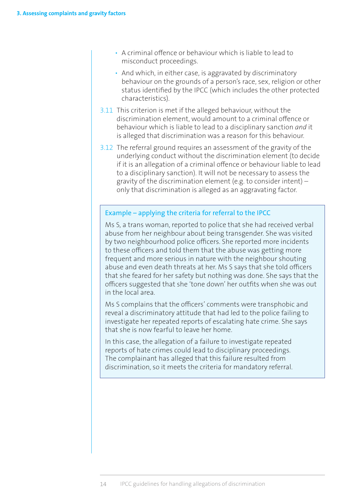- A criminal offence or behaviour which is liable to lead to misconduct proceedings.
- And which, in either case, is aggravated by discriminatory behaviour on the grounds of a person's race, sex, religion or other status identified by the IPCC (which includes the other protected characteristics).
- 3.11 This criterion is met if the alleged behaviour, without the discrimination element, would amount to a criminal offence or behaviour which is liable to lead to a disciplinary sanction *and* it is alleged that discrimination was a reason for this behaviour.
- 3.12 The referral ground requires an assessment of the gravity of the underlying conduct without the discrimination element (to decide if it is an allegation of a criminal offence or behaviour liable to lead to a disciplinary sanction). It will not be necessary to assess the gravity of the discrimination element (e.g. to consider intent) – only that discrimination is alleged as an aggravating factor.

#### Example – applying the criteria for referral to the IPCC

Ms S, a trans woman, reported to police that she had received verbal abuse from her neighbour about being transgender. She was visited by two neighbourhood police officers. She reported more incidents to these officers and told them that the abuse was getting more frequent and more serious in nature with the neighbour shouting abuse and even death threats at her. Ms S says that she told officers that she feared for her safety but nothing was done. She says that the officers suggested that she 'tone down' her outfits when she was out in the local area.

Ms S complains that the officers' comments were transphobic and reveal a discriminatory attitude that had led to the police failing to investigate her repeated reports of escalating hate crime. She says that she is now fearful to leave her home.

In this case, the allegation of a failure to investigate repeated reports of hate crimes could lead to disciplinary proceedings. The complainant has alleged that this failure resulted from discrimination, so it meets the criteria for mandatory referral.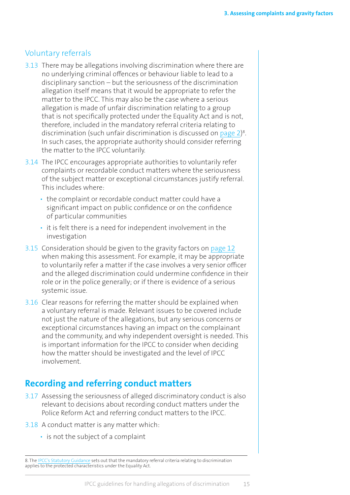#### <span id="page-26-0"></span>Voluntary referrals

- 3.13 There may be allegations involving discrimination where there are no underlying criminal offences or behaviour liable to lead to a disciplinary sanction – but the seriousness of the discrimination allegation itself means that it would be appropriate to refer the matter to the IPCC. This may also be the case where a serious allegation is made of unfair discrimination relating to a group that is not specifically protected under the Equality Act and is not, therefore, included in the mandatory referral criteria relating to discrimination (such unfair discrimination is discussed on [page](#page-13-0) 2)<sup>8</sup>. In such cases, the appropriate authority should consider referring the matter to the IPCC voluntarily.
- 3.14 The IPCC encourages appropriate authorities to voluntarily refer complaints or recordable conduct matters where the seriousness of the subject matter or exceptional circumstances justify referral. This includes where:
	- the complaint or recordable conduct matter could have a significant impact on public confidence or on the confidence of particular communities
	- it is felt there is a need for independent involvement in the investigation
- 3.15 Consideration should be given to the gravity factors on [page](#page-23-0) 12 when making this assessment. For example, it may be appropriate to voluntarily refer a matter if the case involves a very senior officer and the alleged discrimination could undermine confidence in their role or in the police generally; or if there is evidence of a serious systemic issue.
- 3.16 Clear reasons for referring the matter should be explained when a voluntary referral is made. Relevant issues to be covered include not just the nature of the allegations, but any serious concerns or exceptional circumstances having an impact on the complainant and the community, and why independent oversight is needed. This is important information for the IPCC to consider when deciding how the matter should be investigated and the level of IPCC involvement.

# **Recording and referring conduct matters**

- 3.17 Assessing the seriousness of alleged discriminatory conduct is also relevant to decisions about recording conduct matters under the Police Reform Act and referring conduct matters to the IPCC.
- 3.18 A conduct matter is any matter which:
	- is not the subject of a complaint

<sup>8.</sup> The IPCC's [Statutory Guidance](http://www.ipcc.gov.uk/page/statutory-guidance) sets out that the mandatory referral criteria relating to discrimination applies to the protected characteristics under the Equality Act.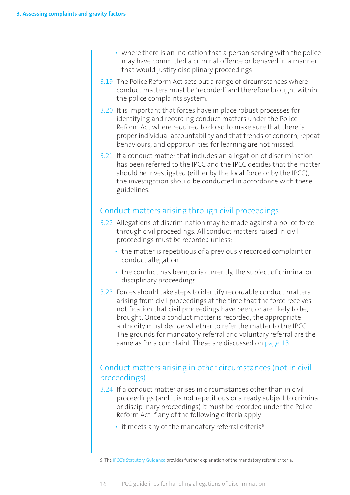- <span id="page-27-0"></span>• where there is an indication that a person serving with the police may have committed a criminal offence or behaved in a manner that would justify disciplinary proceedings
- 3.19 The Police Reform Act sets out a range of circumstances where conduct matters must be 'recorded' and therefore brought within the police complaints system.
- 3.20 It is important that forces have in place robust processes for identifying and recording conduct matters under the Police Reform Act where required to do so to make sure that there is proper individual accountability and that trends of concern, repeat behaviours, and opportunities for learning are not missed.
- 3.21 If a conduct matter that includes an allegation of discrimination has been referred to the IPCC and the IPCC decides that the matter should be investigated (either by the local force or by the IPCC), the investigation should be conducted in accordance with these guidelines.

#### Conduct matters arising through civil proceedings

- 3.22 Allegations of discrimination may be made against a police force through civil proceedings. All conduct matters raised in civil proceedings must be recorded unless:
	- the matter is repetitious of a previously recorded complaint or conduct allegation
	- the conduct has been, or is currently, the subject of criminal or disciplinary proceedings
- 3.23 Forces should take steps to identify recordable conduct matters arising from civil proceedings at the time that the force receives notification that civil proceedings have been, or are likely to be, brought. Once a conduct matter is recorded, the appropriate authority must decide whether to refer the matter to the IPCC. The grounds for mandatory referral and voluntary referral are the same as for a complaint. These are discussed on [page](#page-24-0) 13.

### Conduct matters arising in other circumstances (not in civil proceedings)

- 3.24 If a conduct matter arises in circumstances other than in civil proceedings (and it is not repetitious or already subject to criminal or disciplinary proceedings) it must be recorded under the Police Reform Act if any of the following criteria apply:
	- $\cdot$  it meets any of the mandatory referral criteria<sup>9</sup>

<sup>9.</sup> The [IPCC's Statutory Guidance](http://www.ipcc.gov.uk/page/statutory-guidance) provides further explanation of the mandatory referral criteria.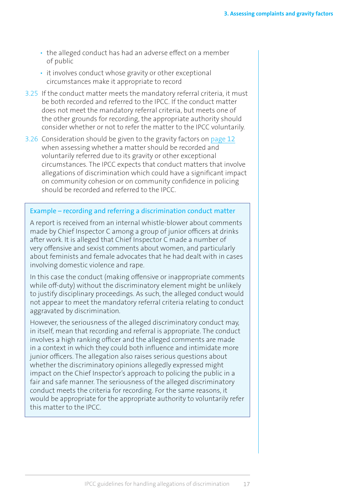- the alleged conduct has had an adverse effect on a member of public
- it involves conduct whose gravity or other exceptional circumstances make it appropriate to record
- 3.25 If the conduct matter meets the mandatory referral criteria, it must be both recorded and referred to the IPCC. If the conduct matter does not meet the mandatory referral criteria, but meets one of the other grounds for recording, the appropriate authority should consider whether or not to refer the matter to the IPCC voluntarily.
- 3.26 Consideration should be given to the gravity factors on [page](#page-23-0) 12 when assessing whether a matter should be recorded and voluntarily referred due to its gravity or other exceptional circumstances. The IPCC expects that conduct matters that involve allegations of discrimination which could have a significant impact on community cohesion or on community confidence in policing should be recorded and referred to the IPCC.

#### Example – recording and referring a discrimination conduct matter

A report is received from an internal whistle-blower about comments made by Chief Inspector C among a group of junior officers at drinks after work. It is alleged that Chief Inspector C made a number of very offensive and sexist comments about women, and particularly about feminists and female advocates that he had dealt with in cases involving domestic violence and rape.

In this case the conduct (making offensive or inappropriate comments while off-duty) without the discriminatory element might be unlikely to justify disciplinary proceedings. As such, the alleged conduct would not appear to meet the mandatory referral criteria relating to conduct aggravated by discrimination.

However, the seriousness of the alleged discriminatory conduct may, in itself, mean that recording and referral is appropriate. The conduct involves a high ranking officer and the alleged comments are made in a context in which they could both influence and intimidate more junior officers. The allegation also raises serious questions about whether the discriminatory opinions allegedly expressed might impact on the Chief Inspector's approach to policing the public in a fair and safe manner. The seriousness of the alleged discriminatory conduct meets the criteria for recording. For the same reasons, it would be appropriate for the appropriate authority to voluntarily refer this matter to the IPCC.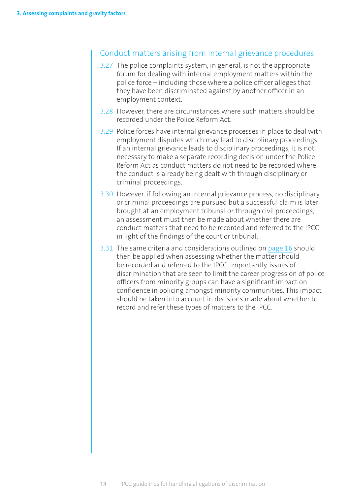#### Conduct matters arising from internal grievance procedures

- 3.27 The police complaints system, in general, is not the appropriate forum for dealing with internal employment matters within the police force – including those where a police officer alleges that they have been discriminated against by another officer in an employment context.
- 3.28 However, there are circumstances where such matters should be recorded under the Police Reform Act.
- 3.29 Police forces have internal grievance processes in place to deal with employment disputes which may lead to disciplinary proceedings. If an internal grievance leads to disciplinary proceedings, it is not necessary to make a separate recording decision under the Police Reform Act as conduct matters do not need to be recorded where the conduct is already being dealt with through disciplinary or criminal proceedings.
- 3.30 However, if following an internal grievance process, no disciplinary or criminal proceedings are pursued but a successful claim is later brought at an employment tribunal or through civil proceedings, an assessment must then be made about whether there are conduct matters that need to be recorded and referred to the IPCC in light of the findings of the court or tribunal.
- 3.31 The same criteria and considerations outlined on [page](#page-27-0) 16 should then be applied when assessing whether the matter should be recorded and referred to the IPCC. Importantly, issues of discrimination that are seen to limit the career progression of police officers from minority groups can have a significant impact on confidence in policing amongst minority communities. This impact should be taken into account in decisions made about whether to record and refer these types of matters to the IPCC.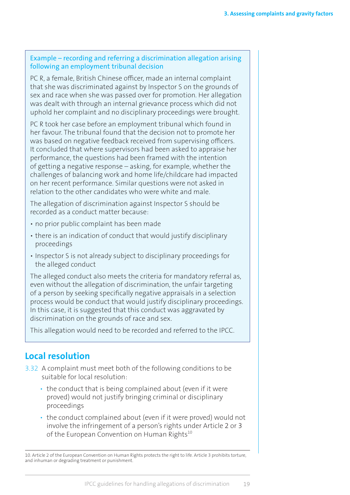#### <span id="page-30-0"></span>Example – recording and referring a discrimination allegation arising following an employment tribunal decision

PC R, a female, British Chinese officer, made an internal complaint that she was discriminated against by Inspector S on the grounds of sex and race when she was passed over for promotion. Her allegation was dealt with through an internal grievance process which did not uphold her complaint and no disciplinary proceedings were brought.

PC R took her case before an employment tribunal which found in her favour. The tribunal found that the decision not to promote her was based on negative feedback received from supervising officers. It concluded that where supervisors had been asked to appraise her performance, the questions had been framed with the intention of getting a negative response – asking, for example, whether the challenges of balancing work and home life/childcare had impacted on her recent performance. Similar questions were not asked in relation to the other candidates who were white and male.

The allegation of discrimination against Inspector S should be recorded as a conduct matter because:

- no prior public complaint has been made
- there is an indication of conduct that would justify disciplinary proceedings
- Inspector S is not already subject to disciplinary proceedings for the alleged conduct

The alleged conduct also meets the criteria for mandatory referral as, even without the allegation of discrimination, the unfair targeting of a person by seeking specifically negative appraisals in a selection process would be conduct that would justify disciplinary proceedings. In this case, it is suggested that this conduct was aggravated by discrimination on the grounds of race and sex.

This allegation would need to be recorded and referred to the IPCC.

# **Local resolution**

- 3.32 A complaint must meet both of the following conditions to be suitable for local resolution:
	- the conduct that is being complained about (even if it were proved) would not justify bringing criminal or disciplinary proceedings
	- the conduct complained about (even if it were proved) would not involve the infringement of a person's rights under Article 2 or 3 of the European Convention on Human Rights $10$

<sup>10.</sup> Article 2 of the European Convention on Human Rights protects the right to life. Article 3 prohibits torture, and inhuman or degrading treatment or punishment.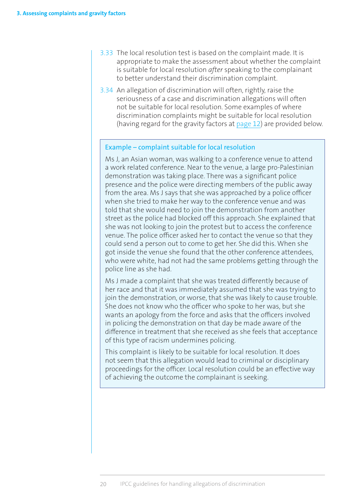- 3.33 The local resolution test is based on the complaint made. It is appropriate to make the assessment about whether the complaint is suitable for local resolution *after* speaking to the complainant to better understand their discrimination complaint.
- 3.34 An allegation of discrimination will often, rightly, raise the seriousness of a case and discrimination allegations will often not be suitable for local resolution. Some examples of where discrimination complaints might be suitable for local resolution (having regard for the gravity factors at [page](#page-23-0) 12) are provided below.

#### Example – complaint suitable for local resolution

Ms J, an Asian woman, was walking to a conference venue to attend a work related conference. Near to the venue, a large pro-Palestinian demonstration was taking place. There was a significant police presence and the police were directing members of the public away from the area. Ms J says that she was approached by a police officer when she tried to make her way to the conference venue and was told that she would need to join the demonstration from another street as the police had blocked off this approach. She explained that she was not looking to join the protest but to access the conference venue. The police officer asked her to contact the venue so that they could send a person out to come to get her. She did this. When she got inside the venue she found that the other conference attendees, who were white, had not had the same problems getting through the police line as she had.

Ms J made a complaint that she was treated differently because of her race and that it was immediately assumed that she was trying to join the demonstration, or worse, that she was likely to cause trouble. She does not know who the officer who spoke to her was, but she wants an apology from the force and asks that the officers involved in policing the demonstration on that day be made aware of the difference in treatment that she received as she feels that acceptance of this type of racism undermines policing.

This complaint is likely to be suitable for local resolution. It does not seem that this allegation would lead to criminal or disciplinary proceedings for the officer. Local resolution could be an effective way of achieving the outcome the complainant is seeking.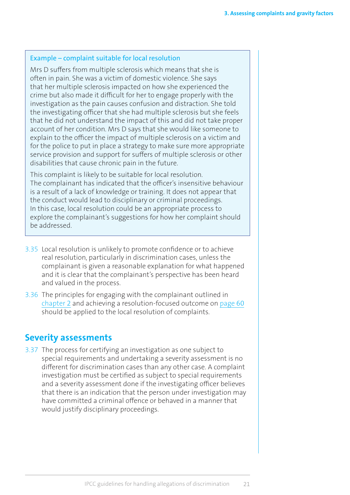#### <span id="page-32-0"></span>Example – complaint suitable for local resolution

Mrs D suffers from multiple sclerosis which means that she is often in pain. She was a victim of domestic violence. She says that her multiple sclerosis impacted on how she experienced the crime but also made it difficult for her to engage properly with the investigation as the pain causes confusion and distraction. She told the investigating officer that she had multiple sclerosis but she feels that he did not understand the impact of this and did not take proper account of her condition. Mrs D says that she would like someone to explain to the officer the impact of multiple sclerosis on a victim and for the police to put in place a strategy to make sure more appropriate service provision and support for suffers of multiple sclerosis or other disabilities that cause chronic pain in the future.

This complaint is likely to be suitable for local resolution. The complainant has indicated that the officer's insensitive behaviour is a result of a lack of knowledge or training. It does not appear that the conduct would lead to disciplinary or criminal proceedings. In this case, local resolution could be an appropriate process to explore the complainant's suggestions for how her complaint should be addressed.

- 3.35 Local resolution is unlikely to promote confidence or to achieve real resolution, particularly in discrimination cases, unless the complainant is given a reasonable explanation for what happened and it is clear that the complainant's perspective has been heard and valued in the process.
- 3.36 The principles for engaging with the complainant outlined in [chapter](#page-19-0) 2 and achieving a resolution-focused outcome on [page](#page-71-0) 60 should be applied to the local resolution of complaints.

#### **Severity assessments**

3.37 The process for certifying an investigation as one subject to special requirements and undertaking a severity assessment is no different for discrimination cases than any other case. A complaint investigation must be certified as subject to special requirements and a severity assessment done if the investigating officer believes that there is an indication that the person under investigation may have committed a criminal offence or behaved in a manner that would justify disciplinary proceedings.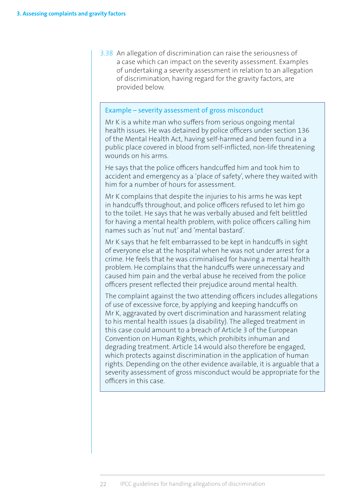3.38 An allegation of discrimination can raise the seriousness of a case which can impact on the severity assessment. Examples of undertaking a severity assessment in relation to an allegation of discrimination, having regard for the gravity factors, are provided below.

#### Example – severity assessment of gross misconduct

Mr K is a white man who suffers from serious ongoing mental health issues. He was detained by police officers under section 136 of the Mental Health Act, having self-harmed and been found in a public place covered in blood from self-inflicted, non-life threatening wounds on his arms.

He says that the police officers handcuffed him and took him to accident and emergency as a 'place of safety', where they waited with him for a number of hours for assessment.

Mr K complains that despite the injuries to his arms he was kept in handcuffs throughout, and police officers refused to let him go to the toilet. He says that he was verbally abused and felt belittled for having a mental health problem, with police officers calling him names such as 'nut nut' and 'mental bastard'.

Mr K says that he felt embarrassed to be kept in handcuffs in sight of everyone else at the hospital when he was not under arrest for a crime. He feels that he was criminalised for having a mental health problem. He complains that the handcuffs were unnecessary and caused him pain and the verbal abuse he received from the police officers present reflected their prejudice around mental health.

The complaint against the two attending officers includes allegations of use of excessive force, by applying and keeping handcuffs on Mr K, aggravated by overt discrimination and harassment relating to his mental health issues (a disability). The alleged treatment in this case could amount to a breach of Article 3 of the European Convention on Human Rights, which prohibits inhuman and degrading treatment. Article 14 would also therefore be engaged, which protects against discrimination in the application of human rights. Depending on the other evidence available, it is arguable that a severity assessment of gross misconduct would be appropriate for the officers in this case.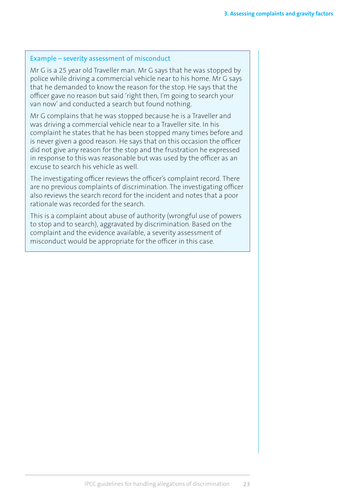#### Example – severity assessment of misconduct

Mr G is a 25 year old Traveller man. Mr G says that he was stopped by police while driving a commercial vehicle near to his home. Mr G says that he demanded to know the reason for the stop. He says that the officer gave no reason but said 'right then, I'm going to search your van now' and conducted a search but found nothing.

Mr G complains that he was stopped because he is a Traveller and was driving a commercial vehicle near to a Traveller site. In his complaint he states that he has been stopped many times before and is never given a good reason. He says that on this occasion the officer did not give any reason for the stop and the frustration he expressed in response to this was reasonable but was used by the officer as an excuse to search his vehicle as well.

The investigating officer reviews the officer's complaint record. There are no previous complaints of discrimination. The investigating officer also reviews the search record for the incident and notes that a poor rationale was recorded for the search.

This is a complaint about abuse of authority (wrongful use of powers to stop and to search), aggravated by discrimination. Based on the complaint and the evidence available, a severity assessment of misconduct would be appropriate for the officer in this case.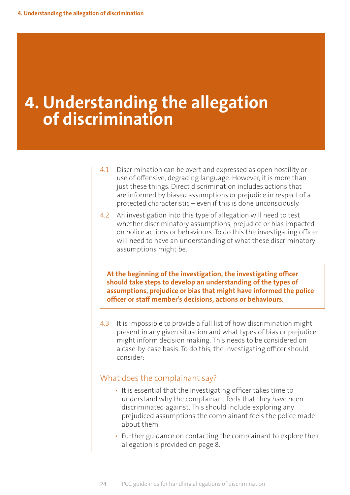# <span id="page-35-0"></span>**4. Understanding the allegation of discrimination**

- 4.1 Discrimination can be overt and expressed as open hostility or use of offensive, degrading language. However, it is more than just these things. Direct discrimination includes actions that are informed by biased assumptions or prejudice in respect of a protected characteristic – even if this is done unconsciously.
- 4.2 An investigation into this type of allegation will need to test whether discriminatory assumptions, prejudice or bias impacted on police actions or behaviours. To do this the investigating officer will need to have an understanding of what these discriminatory assumptions might be.

**At the beginning of the investigation, the investigating officer should take steps to develop an understanding of the types of assumptions, prejudice or bias that might have informed the police officer or staff member's decisions, actions or behaviours.** 

4.3 It is impossible to provide a full list of how discrimination might present in any given situation and what types of bias or prejudice might inform decision making. This needs to be considered on a case-by-case basis. To do this, the investigating officer should consider:

#### What does the complainant say?

- It is essential that the investigating officer takes time to understand why the complainant feels that they have been discriminated against. This should include exploring any prejudiced assumptions the complainant feels the police made about them.
- Further guidance on contacting the complainant to explore their allegation is provided on page 8.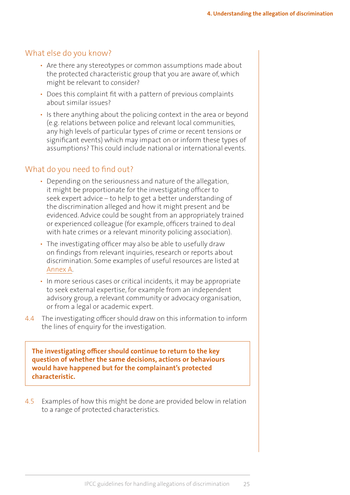## What else do you know?

- Are there any stereotypes or common assumptions made about the protected characteristic group that you are aware of, which might be relevant to consider?
- Does this complaint fit with a pattern of previous complaints about similar issues?
- Is there anything about the policing context in the area or beyond (e.g. relations between police and relevant local communities, any high levels of particular types of crime or recent tensions or significant events) which may impact on or inform these types of assumptions? This could include national or international events.

# What do you need to find out?

- Depending on the seriousness and nature of the allegation, it might be proportionate for the investigating officer to seek expert advice – to help to get a better understanding of the discrimination alleged and how it might present and be evidenced. Advice could be sought from an appropriately trained or experienced colleague (for example, officers trained to deal with hate crimes or a relevant minority policing association).
- The investigating officer may also be able to usefully draw on findings from relevant inquiries, research or reports about discrimination. Some examples of useful resources are listed at [Annex A.](#page-86-0)
- In more serious cases or critical incidents, it may be appropriate to seek external expertise, for example from an independent advisory group, a relevant community or advocacy organisation, or from a legal or academic expert.
- 4.4 The investigating officer should draw on this information to inform the lines of enquiry for the investigation.

**The investigating officer should continue to return to the key question of whether the same decisions, actions or behaviours would have happened but for the complainant's protected characteristic.**

4.5 Examples of how this might be done are provided below in relation to a range of protected characteristics.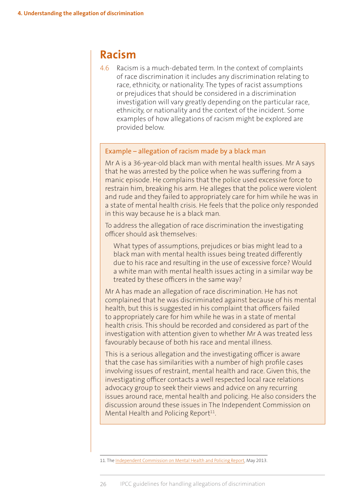# **Racism**

4.6 Racism is a much-debated term. In the context of complaints of race discrimination it includes any discrimination relating to race, ethnicity, or nationality. The types of racist assumptions or prejudices that should be considered in a discrimination investigation will vary greatly depending on the particular race, ethnicity, or nationality and the context of the incident. Some examples of how allegations of racism might be explored are provided below.

#### Example – allegation of racism made by a black man

Mr A is a 36-year-old black man with mental health issues. Mr A says that he was arrested by the police when he was suffering from a manic episode. He complains that the police used excessive force to restrain him, breaking his arm. He alleges that the police were violent and rude and they failed to appropriately care for him while he was in a state of mental health crisis. He feels that the police only responded in this way because he is a black man.

To address the allegation of race discrimination the investigating officer should ask themselves:

What types of assumptions, prejudices or bias might lead to a black man with mental health issues being treated differently due to his race and resulting in the use of excessive force? Would a white man with mental health issues acting in a similar way be treated by these officers in the same way?

Mr A has made an allegation of race discrimination. He has not complained that he was discriminated against because of his mental health, but this is suggested in his complaint that officers failed to appropriately care for him while he was in a state of mental health crisis. This should be recorded and considered as part of the investigation with attention given to whether Mr A was treated less favourably because of both his race and mental illness.

This is a serious allegation and the investigating officer is aware that the case has similarities with a number of high profile cases involving issues of restraint, mental health and race. Given this, the investigating officer contacts a well respected local race relations advocacy group to seek their views and advice on any recurring issues around race, mental health and policing. He also considers the discussion around these issues in The Independent Commission on Mental Health and Policing Report<sup>11</sup>.

11. The [Independent Commission on Mental Health and Policing Report](http://www.turning-point.co.uk/media/621030/independent_commission_on_mental_health_and_policing_main_report.pdf), May 2013.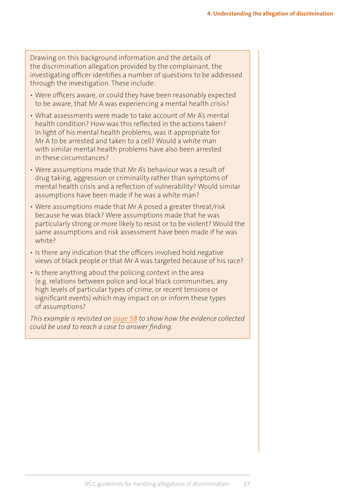Drawing on this background information and the details of the discrimination allegation provided by the complainant, the investigating officer identifies a number of questions to be addressed through the investigation. These include:

- Were officers aware, or could they have been reasonably expected to be aware, that Mr A was experiencing a mental health crisis?
- What assessments were made to take account of Mr A's mental health condition? How was this reflected in the actions taken? In light of his mental health problems, was it appropriate for Mr A to be arrested and taken to a cell? Would a white man with similar mental health problems have also been arrested in these circumstances?
- Were assumptions made that Mr A's behaviour was a result of drug taking, aggression or criminality rather than symptoms of mental health crisis and a reflection of vulnerability? Would similar assumptions have been made if he was a white man?
- Were assumptions made that Mr A posed a greater threat/risk because he was black? Were assumptions made that he was particularly strong or more likely to resist or to be violent? Would the same assumptions and risk assessment have been made if he was white?
- Is there any indication that the officers involved hold negative views of black people or that Mr A was targeted because of his race?
- Is there anything about the policing context in the area (e.g. relations between police and local black communities, any high levels of particular types of crime, or recent tensions or significant events) which may impact on or inform these types of assumptions?

*This example is revisited on [page](#page-69-0) 58 to show how the evidence collected could be used to reach a case to answer finding.*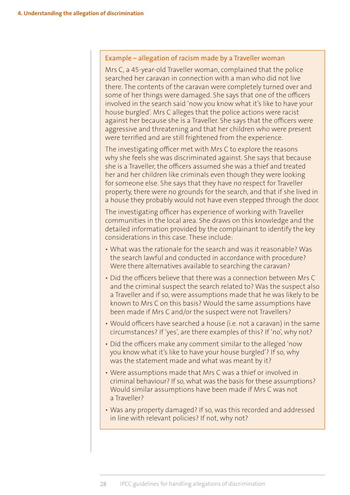#### Example – allegation of racism made by a Traveller woman

Mrs C, a 45-year-old Traveller woman, complained that the police searched her caravan in connection with a man who did not live there. The contents of the caravan were completely turned over and some of her things were damaged. She says that one of the officers involved in the search said 'now you know what it's like to have your house burgled'. Mrs C alleges that the police actions were racist against her because she is a Traveller. She says that the officers were aggressive and threatening and that her children who were present were terrified and are still frightened from the experience.

The investigating officer met with Mrs C to explore the reasons why she feels she was discriminated against. She says that because she is a Traveller, the officers assumed she was a thief and treated her and her children like criminals even though they were looking for someone else. She says that they have no respect for Traveller property, there were no grounds for the search, and that if she lived in a house they probably would not have even stepped through the door.

The investigating officer has experience of working with Traveller communities in the local area. She draws on this knowledge and the detailed information provided by the complainant to identify the key considerations in this case. These include:

- What was the rationale for the search and was it reasonable? Was the search lawful and conducted in accordance with procedure? Were there alternatives available to searching the caravan?
- Did the officers believe that there was a connection between Mrs C and the criminal suspect the search related to? Was the suspect also a Traveller and if so, were assumptions made that he was likely to be known to Mrs C on this basis? Would the same assumptions have been made if Mrs C and/or the suspect were not Travellers?
- Would officers have searched a house (i.e. not a caravan) in the same circumstances? If 'yes', are there examples of this? If 'no', why not?
- Did the officers make any comment similar to the alleged 'now you know what it's like to have your house burgled'? If so, why was the statement made and what was meant by it?
- Were assumptions made that Mrs C was a thief or involved in criminal behaviour? If so, what was the basis for these assumptions? Would similar assumptions have been made if Mrs C was not a Traveller?
- Was any property damaged? If so, was this recorded and addressed in line with relevant policies? If not, why not?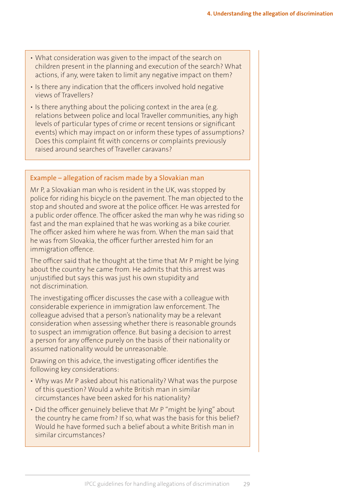- What consideration was given to the impact of the search on children present in the planning and execution of the search? What actions, if any, were taken to limit any negative impact on them?
- Is there any indication that the officers involved hold negative views of Travellers?
- Is there anything about the policing context in the area (e.g. relations between police and local Traveller communities, any high levels of particular types of crime or recent tensions or significant events) which may impact on or inform these types of assumptions? Does this complaint fit with concerns or complaints previously raised around searches of Traveller caravans?

#### Example – allegation of racism made by a Slovakian man

Mr P, a Slovakian man who is resident in the UK, was stopped by police for riding his bicycle on the pavement. The man objected to the stop and shouted and swore at the police officer. He was arrested for a public order offence. The officer asked the man why he was riding so fast and the man explained that he was working as a bike courier. The officer asked him where he was from. When the man said that he was from Slovakia, the officer further arrested him for an immigration offence.

The officer said that he thought at the time that Mr P might be lying about the country he came from. He admits that this arrest was unjustified but says this was just his own stupidity and not discrimination.

The investigating officer discusses the case with a colleague with considerable experience in immigration law enforcement. The colleague advised that a person's nationality may be a relevant consideration when assessing whether there is reasonable grounds to suspect an immigration offence. But basing a decision to arrest a person for any offence purely on the basis of their nationality or assumed nationality would be unreasonable.

Drawing on this advice, the investigating officer identifies the following key considerations:

- Why was Mr P asked about his nationality? What was the purpose of this question? Would a white British man in similar circumstances have been asked for his nationality?
- Did the officer genuinely believe that Mr P "might be lying" about the country he came from? If so, what was the basis for this belief? Would he have formed such a belief about a white British man in similar circumstances?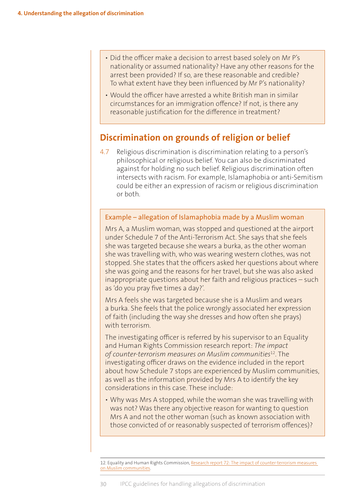- Did the officer make a decision to arrest based solely on Mr P's nationality or assumed nationality? Have any other reasons for the arrest been provided? If so, are these reasonable and credible? To what extent have they been influenced by Mr P's nationality?
- Would the officer have arrested a white British man in similar circumstances for an immigration offence? If not, is there any reasonable justification for the difference in treatment?

# **Discrimination on grounds of religion or belief**

4.7 Religious discrimination is discrimination relating to a person's philosophical or religious belief. You can also be discriminated against for holding no such belief. Religious discrimination often intersects with racism. For example, Islamaphobia or anti-Semitism could be either an expression of racism or religious discrimination or both.

#### Example – allegation of Islamaphobia made by a Muslim woman

Mrs A, a Muslim woman, was stopped and questioned at the airport under Schedule 7 of the Anti-Terrorism Act. She says that she feels she was targeted because she wears a burka, as the other woman she was travelling with, who was wearing western clothes, was not stopped. She states that the officers asked her questions about where she was going and the reasons for her travel, but she was also asked inappropriate questions about her faith and religious practices – such as 'do you pray five times a day?'.

Mrs A feels she was targeted because she is a Muslim and wears a burka. She feels that the police wrongly associated her expression of faith (including the way she dresses and how often she prays) with terrorism.

The investigating officer is referred by his supervisor to an Equality and Human Rights Commission research report: *The impact of counter-terrorism measures on Muslim communities*<sup>12</sup>. The investigating officer draws on the evidence included in the report about how Schedule 7 stops are experienced by Muslim communities, as well as the information provided by Mrs A to identify the key considerations in this case. These include:

• Why was Mrs A stopped, while the woman she was travelling with was not? Was there any objective reason for wanting to question Mrs A and not the other woman (such as known association with those convicted of or reasonably suspected of terrorism offences)?

<sup>12.</sup> Equality and Human Rights Commission, Research report 72[: The impact of counter-terrorism measures](http://www.equalityhumanrights.com/publication/research-report-72-impact-counter-terrorism-measures-muslim-community)  [on Muslim communities](http://www.equalityhumanrights.com/publication/research-report-72-impact-counter-terrorism-measures-muslim-community).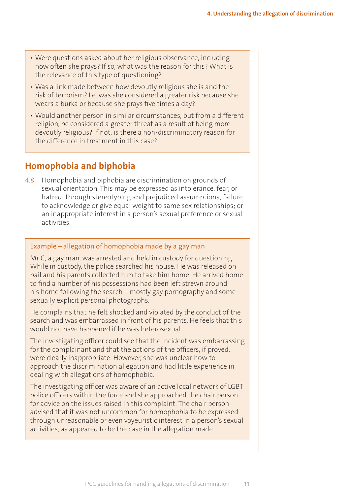- Were questions asked about her religious observance, including how often she prays? If so, what was the reason for this? What is the relevance of this type of questioning?
- Was a link made between how devoutly religious she is and the risk of terrorism? I.e. was she considered a greater risk because she wears a burka or because she prays five times a day?
- Would another person in similar circumstances, but from a different religion, be considered a greater threat as a result of being more devoutly religious? If not, is there a non-discriminatory reason for the difference in treatment in this case?

# **Homophobia and biphobia**

4.8 Homophobia and biphobia are discrimination on grounds of sexual orientation. This may be expressed as intolerance, fear, or hatred; through stereotyping and prejudiced assumptions; failure to acknowledge or give equal weight to same sex relationships; or an inappropriate interest in a person's sexual preference or sexual activities.

### Example – allegation of homophobia made by a gay man

Mr C, a gay man, was arrested and held in custody for questioning. While in custody, the police searched his house. He was released on bail and his parents collected him to take him home. He arrived home to find a number of his possessions had been left strewn around his home following the search – mostly gay pornography and some sexually explicit personal photographs.

He complains that he felt shocked and violated by the conduct of the search and was embarrassed in front of his parents. He feels that this would not have happened if he was heterosexual.

The investigating officer could see that the incident was embarrassing for the complainant and that the actions of the officers, if proved, were clearly inappropriate. However, she was unclear how to approach the discrimination allegation and had little experience in dealing with allegations of homophobia.

The investigating officer was aware of an active local network of LGBT police officers within the force and she approached the chair person for advice on the issues raised in this complaint. The chair person advised that it was not uncommon for homophobia to be expressed through unreasonable or even voyeuristic interest in a person's sexual activities, as appeared to be the case in the allegation made.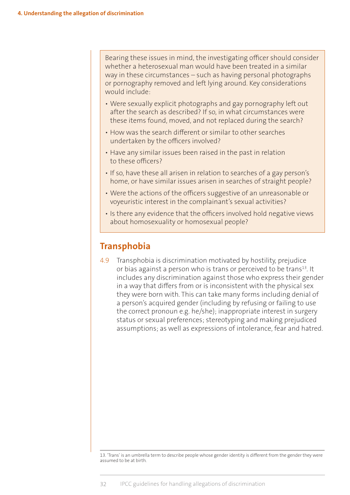Bearing these issues in mind, the investigating officer should consider whether a heterosexual man would have been treated in a similar way in these circumstances – such as having personal photographs or pornography removed and left lying around. Key considerations would include:

- Were sexually explicit photographs and gay pornography left out after the search as described? If so, in what circumstances were these items found, moved, and not replaced during the search?
- How was the search different or similar to other searches undertaken by the officers involved?
- Have any similar issues been raised in the past in relation to these officers?
- If so, have these all arisen in relation to searches of a gay person's home, or have similar issues arisen in searches of straight people?
- Were the actions of the officers suggestive of an unreasonable or voyeuristic interest in the complainant's sexual activities?
- Is there any evidence that the officers involved hold negative views about homosexuality or homosexual people?

# **Transphobia**

4.9 Transphobia is discrimination motivated by hostility, prejudice or bias against a person who is trans or perceived to be trans<sup>13</sup>. It includes any discrimination against those who express their gender in a way that differs from or is inconsistent with the physical sex they were born with. This can take many forms including denial of a person's acquired gender (including by refusing or failing to use the correct pronoun e.g. he/she); inappropriate interest in surgery status or sexual preferences; stereotyping and making prejudiced assumptions; as well as expressions of intolerance, fear and hatred.

13. 'Trans' is an umbrella term to describe people whose gender identity is different from the gender they were assumed to be at birth.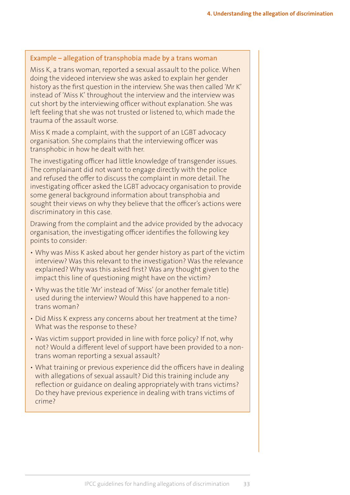#### Example – allegation of transphobia made by a trans woman

Miss K, a trans woman, reported a sexual assault to the police. When doing the videoed interview she was asked to explain her gender history as the first question in the interview. She was then called 'Mr K' instead of 'Miss K' throughout the interview and the interview was cut short by the interviewing officer without explanation. She was left feeling that she was not trusted or listened to, which made the trauma of the assault worse.

Miss K made a complaint, with the support of an LGBT advocacy organisation. She complains that the interviewing officer was transphobic in how he dealt with her.

The investigating officer had little knowledge of transgender issues. The complainant did not want to engage directly with the police and refused the offer to discuss the complaint in more detail. The investigating officer asked the LGBT advocacy organisation to provide some general background information about transphobia and sought their views on why they believe that the officer's actions were discriminatory in this case.

Drawing from the complaint and the advice provided by the advocacy organisation, the investigating officer identifies the following key points to consider:

- Why was Miss K asked about her gender history as part of the victim interview? Was this relevant to the investigation? Was the relevance explained? Why was this asked first? Was any thought given to the impact this line of questioning might have on the victim?
- Why was the title 'Mr' instead of 'Miss' (or another female title) used during the interview? Would this have happened to a nontrans woman?
- Did Miss K express any concerns about her treatment at the time? What was the response to these?
- Was victim support provided in line with force policy? If not, why not? Would a different level of support have been provided to a nontrans woman reporting a sexual assault?
- What training or previous experience did the officers have in dealing with allegations of sexual assault? Did this training include any reflection or guidance on dealing appropriately with trans victims? Do they have previous experience in dealing with trans victims of crime?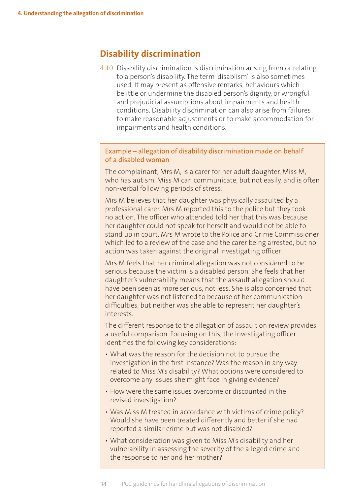# **Disability discrimination**

4.10 Disability discrimination is discrimination arising from or relating to a person's disability. The term 'disablism' is also sometimes used. It may present as offensive remarks, behaviours which belittle or undermine the disabled person's dignity, or wrongful and prejudicial assumptions about impairments and health conditions. Disability discrimination can also arise from failures to make reasonable adjustments or to make accommodation for impairments and health conditions.

#### Example – allegation of disability discrimination made on behalf of a disabled woman

The complainant, Mrs M, is a carer for her adult daughter, Miss M, who has autism. Miss M can communicate, but not easily, and is often non-verbal following periods of stress.

Mrs M believes that her daughter was physically assaulted by a professional carer. Mrs M reported this to the police but they took no action. The officer who attended told her that this was because her daughter could not speak for herself and would not be able to stand up in court. Mrs M wrote to the Police and Crime Commissioner which led to a review of the case and the carer being arrested, but no action was taken against the original investigating officer.

Mrs M feels that her criminal allegation was not considered to be serious because the victim is a disabled person. She feels that her daughter's vulnerability means that the assault allegation should have been seen as more serious, not less. She is also concerned that her daughter was not listened to because of her communication difficulties, but neither was she able to represent her daughter's interests.

The different response to the allegation of assault on review provides a useful comparison. Focusing on this, the investigating officer identifies the following key considerations:

- What was the reason for the decision not to pursue the investigation in the first instance? Was the reason in any way related to Miss M's disability? What options were considered to overcome any issues she might face in giving evidence?
- How were the same issues overcome or discounted in the revised investigation?
- Was Miss M treated in accordance with victims of crime policy? Would she have been treated differently and better if she had reported a similar crime but was not disabled?
- What consideration was given to Miss M's disability and her vulnerability in assessing the severity of the alleged crime and the response to her and her mother?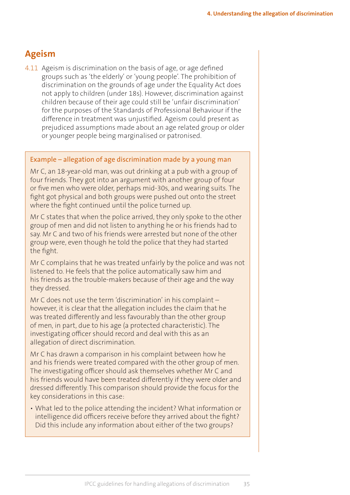# **Ageism**

4.11 Ageism is discrimination on the basis of age, or age defined groups such as 'the elderly' or 'young people'. The prohibition of discrimination on the grounds of age under the Equality Act does not apply to children (under 18s). However, discrimination against children because of their age could still be 'unfair discrimination' for the purposes of the Standards of Professional Behaviour if the difference in treatment was unjustified. Ageism could present as prejudiced assumptions made about an age related group or older or younger people being marginalised or patronised.

#### Example – allegation of age discrimination made by a young man

Mr C, an 18-year-old man, was out drinking at a pub with a group of four friends. They got into an argument with another group of four or five men who were older, perhaps mid-30s, and wearing suits. The fight got physical and both groups were pushed out onto the street where the fight continued until the police turned up.

Mr C states that when the police arrived, they only spoke to the other group of men and did not listen to anything he or his friends had to say. Mr C and two of his friends were arrested but none of the other group were, even though he told the police that they had started the fight.

Mr C complains that he was treated unfairly by the police and was not listened to. He feels that the police automatically saw him and his friends as the trouble-makers because of their age and the way they dressed.

Mr C does not use the term 'discrimination' in his complaint – however, it is clear that the allegation includes the claim that he was treated differently and less favourably than the other group of men, in part, due to his age (a protected characteristic). The investigating officer should record and deal with this as an allegation of direct discrimination.

Mr C has drawn a comparison in his complaint between how he and his friends were treated compared with the other group of men. The investigating officer should ask themselves whether Mr C and his friends would have been treated differently if they were older and dressed differently. This comparison should provide the focus for the key considerations in this case:

• What led to the police attending the incident? What information or intelligence did officers receive before they arrived about the fight? Did this include any information about either of the two groups?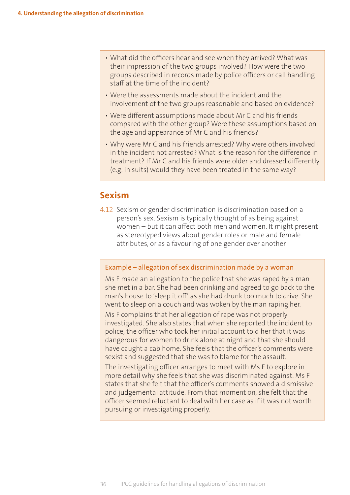- What did the officers hear and see when they arrived? What was their impression of the two groups involved? How were the two groups described in records made by police officers or call handling staff at the time of the incident?
- Were the assessments made about the incident and the involvement of the two groups reasonable and based on evidence?
- Were different assumptions made about Mr C and his friends compared with the other group? Were these assumptions based on the age and appearance of Mr C and his friends?
- Why were Mr C and his friends arrested? Why were others involved in the incident not arrested? What is the reason for the difference in treatment? If Mr C and his friends were older and dressed differently (e.g. in suits) would they have been treated in the same way?

# **Sexism**

4.12 Sexism or gender discrimination is discrimination based on a person's sex. Sexism is typically thought of as being against women – but it can affect both men and women. It might present as stereotyped views about gender roles or male and female attributes, or as a favouring of one gender over another.

#### Example – allegation of sex discrimination made by a woman

Ms F made an allegation to the police that she was raped by a man she met in a bar. She had been drinking and agreed to go back to the man's house to 'sleep it off' as she had drunk too much to drive. She went to sleep on a couch and was woken by the man raping her.

Ms F complains that her allegation of rape was not properly investigated. She also states that when she reported the incident to police, the officer who took her initial account told her that it was dangerous for women to drink alone at night and that she should have caught a cab home. She feels that the officer's comments were sexist and suggested that she was to blame for the assault.

The investigating officer arranges to meet with Ms F to explore in more detail why she feels that she was discriminated against. Ms F states that she felt that the officer's comments showed a dismissive and judgemental attitude. From that moment on, she felt that the officer seemed reluctant to deal with her case as if it was not worth pursuing or investigating properly.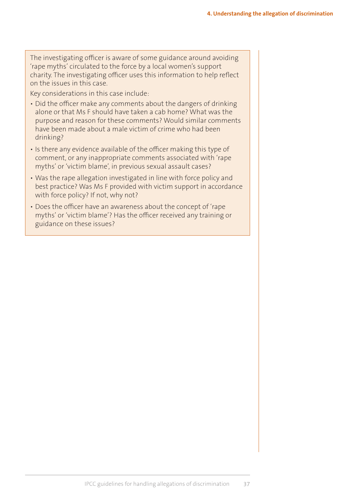The investigating officer is aware of some guidance around avoiding 'rape myths' circulated to the force by a local women's support charity. The investigating officer uses this information to help reflect on the issues in this case.

Key considerations in this case include:

- Did the officer make any comments about the dangers of drinking alone or that Ms F should have taken a cab home? What was the purpose and reason for these comments? Would similar comments have been made about a male victim of crime who had been drinking?
- Is there any evidence available of the officer making this type of comment, or any inappropriate comments associated with 'rape myths' or 'victim blame', in previous sexual assault cases?
- Was the rape allegation investigated in line with force policy and best practice? Was Ms F provided with victim support in accordance with force policy? If not, why not?
- Does the officer have an awareness about the concept of 'rape myths' or 'victim blame'? Has the officer received any training or guidance on these issues?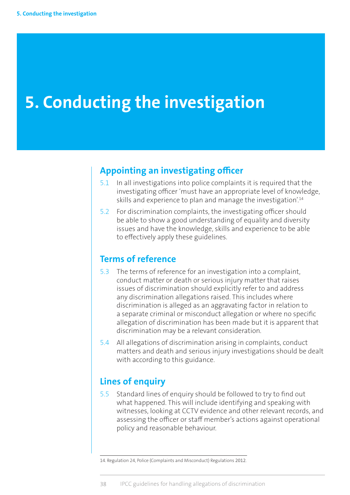# **5. Conducting the investigation**

# **Appointing an investigating officer**

- 5.1 In all investigations into police complaints it is required that the investigating officer 'must have an appropriate level of knowledge, skills and experience to plan and manage the investigation<sup>'14</sup>
- 5.2 For discrimination complaints, the investigating officer should be able to show a good understanding of equality and diversity issues and have the knowledge, skills and experience to be able to effectively apply these guidelines.

# **Terms of reference**

- 5.3 The terms of reference for an investigation into a complaint, conduct matter or death or serious injury matter that raises issues of discrimination should explicitly refer to and address any discrimination allegations raised. This includes where discrimination is alleged as an aggravating factor in relation to a separate criminal or misconduct allegation or where no specific allegation of discrimination has been made but it is apparent that discrimination may be a relevant consideration.
- 5.4 All allegations of discrimination arising in complaints, conduct matters and death and serious injury investigations should be dealt with according to this guidance.

# **Lines of enquiry**

5.5 Standard lines of enquiry should be followed to try to find out what happened. This will include identifying and speaking with witnesses, looking at CCTV evidence and other relevant records, and assessing the officer or staff member's actions against operational policy and reasonable behaviour.

<sup>14.</sup> Regulation 24, Police (Complaints and Misconduct) Regulations 2012.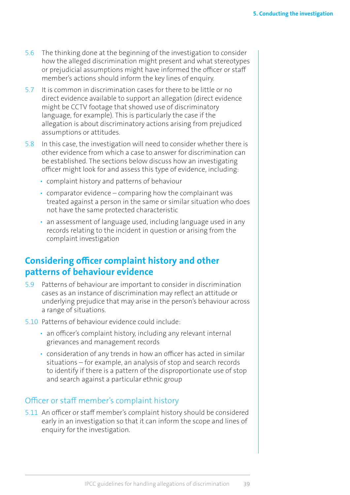- 5.6 The thinking done at the beginning of the investigation to consider how the alleged discrimination might present and what stereotypes or prejudicial assumptions might have informed the officer or staff member's actions should inform the key lines of enquiry.
- 5.7 It is common in discrimination cases for there to be little or no direct evidence available to support an allegation (direct evidence might be CCTV footage that showed use of discriminatory language, for example). This is particularly the case if the allegation is about discriminatory actions arising from prejudiced assumptions or attitudes.
- 5.8 In this case, the investigation will need to consider whether there is other evidence from which a case to answer for discrimination can be established. The sections below discuss how an investigating officer might look for and assess this type of evidence, including:
	- complaint history and patterns of behaviour
	- comparator evidence comparing how the complainant was treated against a person in the same or similar situation who does not have the same protected characteristic
	- an assessment of language used, including language used in any records relating to the incident in question or arising from the complaint investigation

# **Considering officer complaint history and other patterns of behaviour evidence**

- 5.9 Patterns of behaviour are important to consider in discrimination cases as an instance of discrimination may reflect an attitude or underlying prejudice that may arise in the person's behaviour across a range of situations.
- 5.10 Patterns of behaviour evidence could include:
	- an officer's complaint history, including any relevant internal grievances and management records
	- consideration of any trends in how an officer has acted in similar situations – for example, an analysis of stop and search records to identify if there is a pattern of the disproportionate use of stop and search against a particular ethnic group

#### Officer or staff member's complaint history

5.11 An officer or staff member's complaint history should be considered early in an investigation so that it can inform the scope and lines of enquiry for the investigation.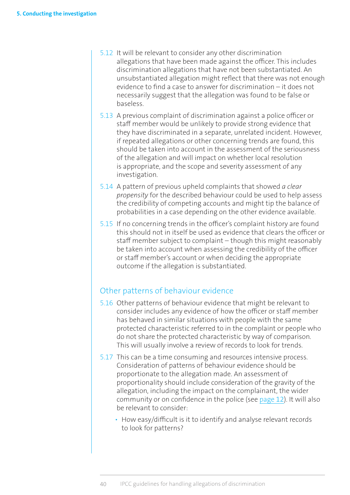- 5.12 It will be relevant to consider any other discrimination allegations that have been made against the officer. This includes discrimination allegations that have not been substantiated. An unsubstantiated allegation might reflect that there was not enough evidence to find a case to answer for discrimination – it does not necessarily suggest that the allegation was found to be false or baseless.
- 5.13 A previous complaint of discrimination against a police officer or staff member would be unlikely to provide strong evidence that they have discriminated in a separate, unrelated incident. However, if repeated allegations or other concerning trends are found, this should be taken into account in the assessment of the seriousness of the allegation and will impact on whether local resolution is appropriate, and the scope and severity assessment of any investigation.
- 5.14 A pattern of previous upheld complaints that showed *a clear propensity* for the described behaviour could be used to help assess the credibility of competing accounts and might tip the balance of probabilities in a case depending on the other evidence available.
- 5.15 If no concerning trends in the officer's complaint history are found this should not in itself be used as evidence that clears the officer or staff member subject to complaint – though this might reasonably be taken into account when assessing the credibility of the officer or staff member's account or when deciding the appropriate outcome if the allegation is substantiated.

#### Other patterns of behaviour evidence

- 5.16 Other patterns of behaviour evidence that might be relevant to consider includes any evidence of how the officer or staff member has behaved in similar situations with people with the same protected characteristic referred to in the complaint or people who do not share the protected characteristic by way of comparison. This will usually involve a review of records to look for trends.
- 5.17 This can be a time consuming and resources intensive process. Consideration of patterns of behaviour evidence should be proportionate to the allegation made. An assessment of proportionality should include consideration of the gravity of the allegation, including the impact on the complainant, the wider community or on confidence in the police (see [page](#page-23-0) 12). It will also be relevant to consider:
	- How easy/difficult is it to identify and analyse relevant records to look for patterns?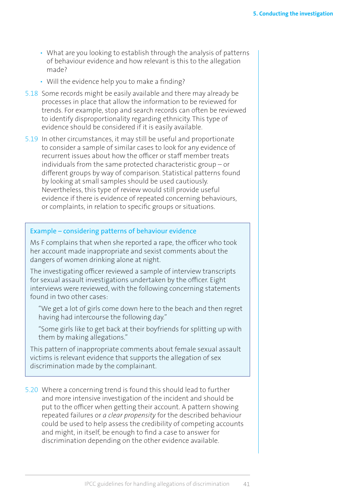- What are you looking to establish through the analysis of patterns of behaviour evidence and how relevant is this to the allegation made?
- Will the evidence help you to make a finding?
- 5.18 Some records might be easily available and there may already be processes in place that allow the information to be reviewed for trends. For example, stop and search records can often be reviewed to identify disproportionality regarding ethnicity. This type of evidence should be considered if it is easily available.
- 5.19 In other circumstances, it may still be useful and proportionate to consider a sample of similar cases to look for any evidence of recurrent issues about how the officer or staff member treats individuals from the same protected characteristic group – or different groups by way of comparison. Statistical patterns found by looking at small samples should be used cautiously. Nevertheless, this type of review would still provide useful evidence if there is evidence of repeated concerning behaviours, or complaints, in relation to specific groups or situations.

#### Example – considering patterns of behaviour evidence

Ms F complains that when she reported a rape, the officer who took her account made inappropriate and sexist comments about the dangers of women drinking alone at night.

The investigating officer reviewed a sample of interview transcripts for sexual assault investigations undertaken by the officer. Eight interviews were reviewed, with the following concerning statements found in two other cases:

"We get a lot of girls come down here to the beach and then regret having had intercourse the following day."

"Some girls like to get back at their boyfriends for splitting up with them by making allegations."

This pattern of inappropriate comments about female sexual assault victims is relevant evidence that supports the allegation of sex discrimination made by the complainant.

5.20 Where a concerning trend is found this should lead to further and more intensive investigation of the incident and should be put to the officer when getting their account. A pattern showing repeated failures or *a clear propensity* for the described behaviour could be used to help assess the credibility of competing accounts and might, in itself, be enough to find a case to answer for discrimination depending on the other evidence available.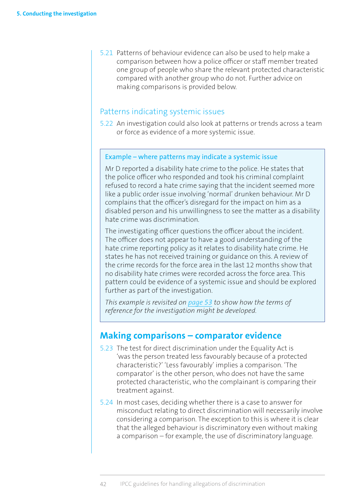5.21 Patterns of behaviour evidence can also be used to help make a comparison between how a police officer or staff member treated one group of people who share the relevant protected characteristic compared with another group who do not. Further advice on making comparisons is provided below.

#### Patterns indicating systemic issues

5.22 An investigation could also look at patterns or trends across a team or force as evidence of a more systemic issue.

#### Example – where patterns may indicate a systemic issue

Mr D reported a disability hate crime to the police. He states that the police officer who responded and took his criminal complaint refused to record a hate crime saying that the incident seemed more like a public order issue involving 'normal' drunken behaviour. Mr D complains that the officer's disregard for the impact on him as a disabled person and his unwillingness to see the matter as a disability hate crime was discrimination.

The investigating officer questions the officer about the incident. The officer does not appear to have a good understanding of the hate crime reporting policy as it relates to disability hate crime. He states he has not received training or guidance on this. A review of the crime records for the force area in the last 12 months show that no disability hate crimes were recorded across the force area. This pattern could be evidence of a systemic issue and should be explored further as part of the investigation.

*This example is revisited on [page](#page-64-0) 53 to show how the terms of reference for the investigation might be developed.*

## **Making comparisons – comparator evidence**

- 5.23 The test for direct discrimination under the Equality Act is 'was the person treated less favourably because of a protected characteristic?' 'Less favourably' implies a comparison. 'The comparator' is the other person, who does not have the same protected characteristic, who the complainant is comparing their treatment against.
- 5.24 In most cases, deciding whether there is a case to answer for misconduct relating to direct discrimination will necessarily involve considering a comparison. The exception to this is where it is clear that the alleged behaviour is discriminatory even without making a comparison – for example, the use of discriminatory language.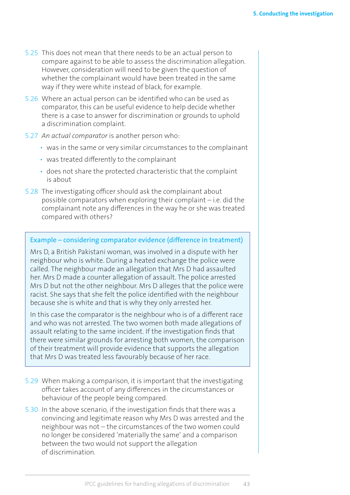- 5.25 This does not mean that there needs to be an actual person to compare against to be able to assess the discrimination allegation. However, consideration will need to be given the question of whether the complainant would have been treated in the same way if they were white instead of black, for example.
- 5.26 Where an actual person can be identified who can be used as comparator, this can be useful evidence to help decide whether there is a case to answer for discrimination or grounds to uphold a discrimination complaint.
- 5.27 *An actual comparator* is another person who:
	- was in the same or very similar circumstances to the complainant
	- was treated differently to the complainant
	- does not share the protected characteristic that the complaint is about
- 5.28 The investigating officer should ask the complainant about possible comparators when exploring their complaint – i.e. did the complainant note any differences in the way he or she was treated compared with others?

#### Example – considering comparator evidence (difference in treatment)

Mrs D, a British Pakistani woman, was involved in a dispute with her neighbour who is white. During a heated exchange the police were called. The neighbour made an allegation that Mrs D had assaulted her. Mrs D made a counter allegation of assault. The police arrested Mrs D but not the other neighbour. Mrs D alleges that the police were racist. She says that she felt the police identified with the neighbour because she is white and that is why they only arrested her.

In this case the comparator is the neighbour who is of a different race and who was not arrested. The two women both made allegations of assault relating to the same incident. If the investigation finds that there were similar grounds for arresting both women, the comparison of their treatment will provide evidence that supports the allegation that Mrs D was treated less favourably because of her race.

- 5.29 When making a comparison, it is important that the investigating officer takes account of any differences in the circumstances or behaviour of the people being compared.
- 5.30 In the above scenario, if the investigation finds that there was a convincing and legitimate reason why Mrs D was arrested and the neighbour was not – the circumstances of the two women could no longer be considered 'materially the same' and a comparison between the two would not support the allegation of discrimination.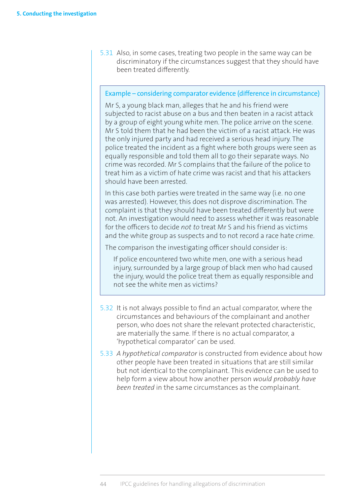5.31 Also, in some cases, treating two people in the same way can be discriminatory if the circumstances suggest that they should have been treated differently.

#### Example – considering comparator evidence (difference in circumstance)

Mr S, a young black man, alleges that he and his friend were subjected to racist abuse on a bus and then beaten in a racist attack by a group of eight young white men. The police arrive on the scene. Mr S told them that he had been the victim of a racist attack. He was the only injured party and had received a serious head injury. The police treated the incident as a fight where both groups were seen as equally responsible and told them all to go their separate ways. No crime was recorded. Mr S complains that the failure of the police to treat him as a victim of hate crime was racist and that his attackers should have been arrested.

In this case both parties were treated in the same way (i.e. no one was arrested). However, this does not disprove discrimination. The complaint is that they should have been treated differently but were not. An investigation would need to assess whether it was reasonable for the officers to decide *not to* treat Mr S and his friend as victims and the white group as suspects and to not record a race hate crime.

The comparison the investigating officer should consider is:

If police encountered two white men, one with a serious head injury, surrounded by a large group of black men who had caused the injury, would the police treat them as equally responsible and not see the white men as victims?

- 5.32 It is not always possible to find an actual comparator, where the circumstances and behaviours of the complainant and another person, who does not share the relevant protected characteristic, are materially the same. If there is no actual comparator, a 'hypothetical comparator' can be used.
- 5.33 *A hypothetical comparator* is constructed from evidence about how other people have been treated in situations that are still similar but not identical to the complainant. This evidence can be used to help form a view about how another person *would probably have been treated* in the same circumstances as the complainant.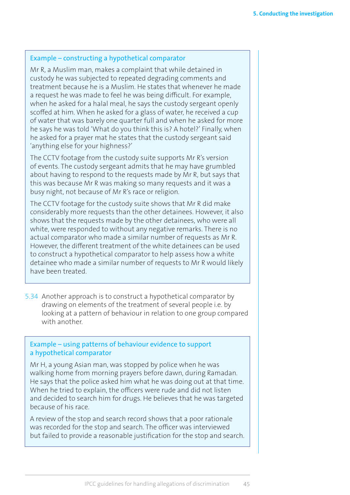#### Example – constructing a hypothetical comparator

Mr R, a Muslim man, makes a complaint that while detained in custody he was subjected to repeated degrading comments and treatment because he is a Muslim. He states that whenever he made a request he was made to feel he was being difficult. For example, when he asked for a halal meal, he says the custody sergeant openly scoffed at him. When he asked for a glass of water, he received a cup of water that was barely one quarter full and when he asked for more he says he was told 'What do you think this is? A hotel?' Finally, when he asked for a prayer mat he states that the custody sergeant said 'anything else for your highness?'

The CCTV footage from the custody suite supports Mr R's version of events. The custody sergeant admits that he may have grumbled about having to respond to the requests made by Mr R, but says that this was because Mr R was making so many requests and it was a busy night, not because of Mr R's race or religion.

The CCTV footage for the custody suite shows that Mr R did make considerably more requests than the other detainees. However, it also shows that the requests made by the other detainees, who were all white, were responded to without any negative remarks. There is no actual comparator who made a similar number of requests as Mr R. However, the different treatment of the white detainees can be used to construct a hypothetical comparator to help assess how a white detainee who made a similar number of requests to Mr R would likely have been treated.

5.34 Another approach is to construct a hypothetical comparator by drawing on elements of the treatment of several people i.e. by looking at a pattern of behaviour in relation to one group compared with another

#### Example – using patterns of behaviour evidence to support a hypothetical comparator

Mr H, a young Asian man, was stopped by police when he was walking home from morning prayers before dawn, during Ramadan. He says that the police asked him what he was doing out at that time. When he tried to explain, the officers were rude and did not listen and decided to search him for drugs. He believes that he was targeted because of his race.

A review of the stop and search record shows that a poor rationale was recorded for the stop and search. The officer was interviewed but failed to provide a reasonable justification for the stop and search.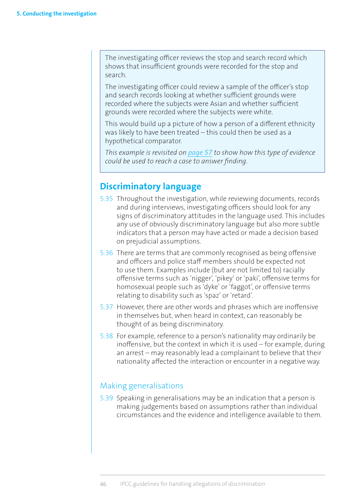The investigating officer reviews the stop and search record which shows that insufficient grounds were recorded for the stop and search.

The investigating officer could review a sample of the officer's stop and search records looking at whether sufficient grounds were recorded where the subjects were Asian and whether sufficient grounds were recorded where the subjects were white.

This would build up a picture of how a person of a different ethnicity was likely to have been treated – this could then be used as a hypothetical comparator.

*This example is revisited on [page](#page-68-0) 57 to show how this type of evidence could be used to reach a case to answer finding.*

# **Discriminatory language**

- 5.35 Throughout the investigation, while reviewing documents, records and during interviews, investigating officers should look for any signs of discriminatory attitudes in the language used. This includes any use of obviously discriminatory language but also more subtle indicators that a person may have acted or made a decision based on prejudicial assumptions.
- 5.36 There are terms that are commonly recognised as being offensive and officers and police staff members should be expected not to use them. Examples include (but are not limited to) racially offensive terms such as 'nigger', 'pikey' or 'paki', offensive terms for homosexual people such as 'dyke' or 'faggot', or offensive terms relating to disability such as 'spaz' or 'retard'.
- 5.37 However, there are other words and phrases which are inoffensive in themselves but, when heard in context, can reasonably be thought of as being discriminatory.
- 5.38 For example, reference to a person's nationality may ordinarily be inoffensive, but the context in which it is used – for example, during an arrest – may reasonably lead a complainant to believe that their nationality affected the interaction or encounter in a negative way.

# Making generalisations

5.39 Speaking in generalisations may be an indication that a person is making judgements based on assumptions rather than individual circumstances and the evidence and intelligence available to them.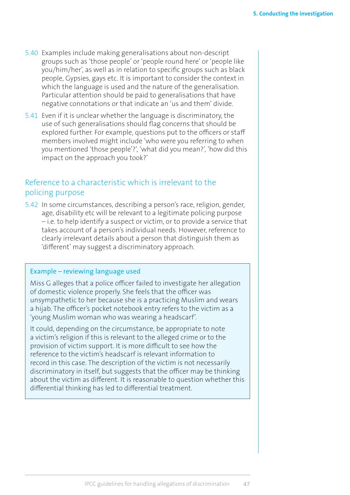- 5.40 Examples include making generalisations about non-descript groups such as 'those people' or 'people round here' or 'people like you/him/her', as well as in relation to specific groups such as black people, Gypsies, gays etc. It is important to consider the context in which the language is used and the nature of the generalisation. Particular attention should be paid to generalisations that have negative connotations or that indicate an 'us and them' divide.
- 5.41 Even if it is unclear whether the language is discriminatory, the use of such generalisations should flag concerns that should be explored further. For example, questions put to the officers or staff members involved might include 'who were you referring to when you mentioned 'those people'?', 'what did you mean?', 'how did this impact on the approach you took?'

## Reference to a characteristic which is irrelevant to the policing purpose

5.42 In some circumstances, describing a person's race, religion, gender, age, disability etc will be relevant to a legitimate policing purpose – i.e. to help identify a suspect or victim, or to provide a service that takes account of a person's individual needs. However, reference to clearly irrelevant details about a person that distinguish them as 'different' may suggest a discriminatory approach.

#### Example – reviewing language used

Miss G alleges that a police officer failed to investigate her allegation of domestic violence properly. She feels that the officer was unsympathetic to her because she is a practicing Muslim and wears a hijab. The officer's pocket notebook entry refers to the victim as a 'young Muslim woman who was wearing a headscarf'.

It could, depending on the circumstance, be appropriate to note a victim's religion if this is relevant to the alleged crime or to the provision of victim support. It is more difficult to see how the reference to the victim's headscarf is relevant information to record in this case. The description of the victim is not necessarily discriminatory in itself, but suggests that the officer may be thinking about the victim as different. It is reasonable to question whether this differential thinking has led to differential treatment.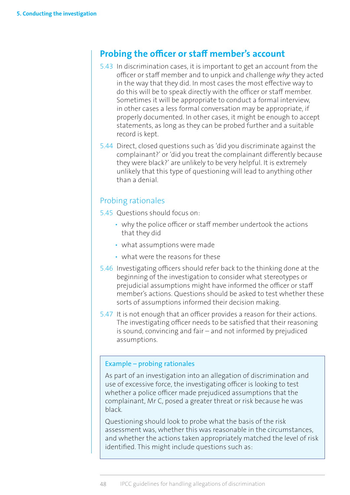# **Probing the officer or staff member's account**

- 5.43 In discrimination cases, it is important to get an account from the officer or staff member and to unpick and challenge *why* they acted in the way that they did. In most cases the most effective way to do this will be to speak directly with the officer or staff member. Sometimes it will be appropriate to conduct a formal interview, in other cases a less formal conversation may be appropriate, if properly documented. In other cases, it might be enough to accept statements, as long as they can be probed further and a suitable record is kept.
- 5.44 Direct, closed questions such as 'did you discriminate against the complainant?' or 'did you treat the complainant differently because they were black?' are unlikely to be very helpful. It is extremely unlikely that this type of questioning will lead to anything other than a denial.

# Probing rationales

- 5.45 Questions should focus on:
	- why the police officer or staff member undertook the actions that they did
	- what assumptions were made
	- what were the reasons for these
- 5.46 Investigating officers should refer back to the thinking done at the beginning of the investigation to consider what stereotypes or prejudicial assumptions might have informed the officer or staff member's actions. Questions should be asked to test whether these sorts of assumptions informed their decision making.
- 5.47 It is not enough that an officer provides a reason for their actions. The investigating officer needs to be satisfied that their reasoning is sound, convincing and fair – and not informed by prejudiced assumptions.

#### Example – probing rationales

As part of an investigation into an allegation of discrimination and use of excessive force, the investigating officer is looking to test whether a police officer made prejudiced assumptions that the complainant, Mr C, posed a greater threat or risk because he was black.

Questioning should look to probe what the basis of the risk assessment was, whether this was reasonable in the circumstances, and whether the actions taken appropriately matched the level of risk identified. This might include questions such as: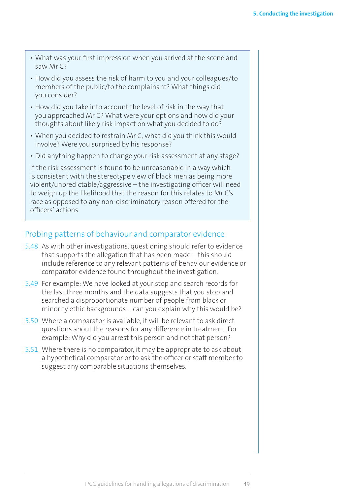- What was your first impression when you arrived at the scene and saw Mr C?
- How did you assess the risk of harm to you and your colleagues/to members of the public/to the complainant? What things did you consider?
- How did you take into account the level of risk in the way that you approached Mr C? What were your options and how did your thoughts about likely risk impact on what you decided to do?
- When you decided to restrain Mr C, what did you think this would involve? Were you surprised by his response?
- Did anything happen to change your risk assessment at any stage?

If the risk assessment is found to be unreasonable in a way which is consistent with the stereotype view of black men as being more violent/unpredictable/aggressive – the investigating officer will need to weigh up the likelihood that the reason for this relates to Mr C's race as opposed to any non-discriminatory reason offered for the officers' actions.

## Probing patterns of behaviour and comparator evidence

- 5.48 As with other investigations, questioning should refer to evidence that supports the allegation that has been made – this should include reference to any relevant patterns of behaviour evidence or comparator evidence found throughout the investigation.
- 5.49 For example: We have looked at your stop and search records for the last three months and the data suggests that you stop and searched a disproportionate number of people from black or minority ethic backgrounds – can you explain why this would be?
- 5.50 Where a comparator is available, it will be relevant to ask direct questions about the reasons for any difference in treatment. For example: Why did you arrest this person and not that person?
- 5.51 Where there is no comparator, it may be appropriate to ask about a hypothetical comparator or to ask the officer or staff member to suggest any comparable situations themselves.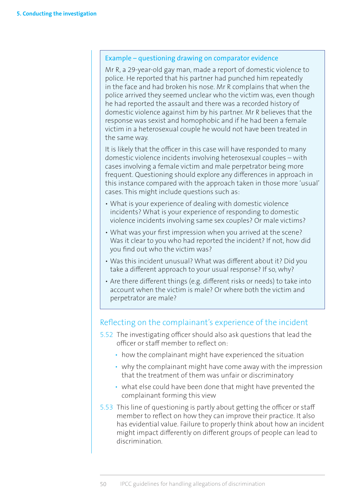#### <span id="page-61-0"></span>Example – questioning drawing on comparator evidence

Mr R, a 29-year-old gay man, made a report of domestic violence to police. He reported that his partner had punched him repeatedly in the face and had broken his nose. Mr R complains that when the police arrived they seemed unclear who the victim was, even though he had reported the assault and there was a recorded history of domestic violence against him by his partner. Mr R believes that the response was sexist and homophobic and if he had been a female victim in a heterosexual couple he would not have been treated in the same way.

It is likely that the officer in this case will have responded to many domestic violence incidents involving heterosexual couples – with cases involving a female victim and male perpetrator being more frequent. Questioning should explore any differences in approach in this instance compared with the approach taken in those more 'usual' cases. This might include questions such as:

- What is your experience of dealing with domestic violence incidents? What is your experience of responding to domestic violence incidents involving same sex couples? Or male victims?
- What was your first impression when you arrived at the scene? Was it clear to you who had reported the incident? If not, how did you find out who the victim was?
- Was this incident unusual? What was different about it? Did you take a different approach to your usual response? If so, why?
- Are there different things (e.g. different risks or needs) to take into account when the victim is male? Or where both the victim and perpetrator are male?

## Reflecting on the complainant's experience of the incident

- 5.52 The investigating officer should also ask questions that lead the officer or staff member to reflect on:
	- how the complainant might have experienced the situation
	- why the complainant might have come away with the impression that the treatment of them was unfair or discriminatory
	- what else could have been done that might have prevented the complainant forming this view
- 5.53 This line of questioning is partly about getting the officer or staff member to reflect on how they can improve their practice. It also has evidential value. Failure to properly think about how an incident might impact differently on different groups of people can lead to discrimination.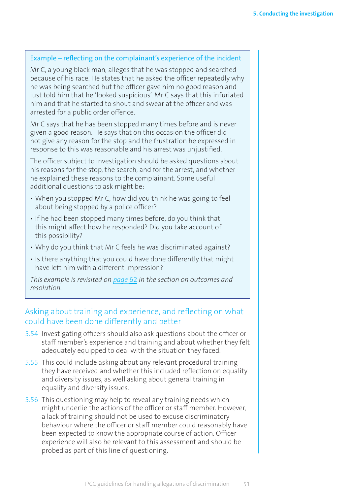#### Example – reflecting on the complainant's experience of the incident

Mr C, a young black man, alleges that he was stopped and searched because of his race. He states that he asked the officer repeatedly why he was being searched but the officer gave him no good reason and just told him that he 'looked suspicious'. Mr C says that this infuriated him and that he started to shout and swear at the officer and was arrested for a public order offence.

Mr C says that he has been stopped many times before and is never given a good reason. He says that on this occasion the officer did not give any reason for the stop and the frustration he expressed in response to this was reasonable and his arrest was unjustified.

The officer subject to investigation should be asked questions about his reasons for the stop, the search, and for the arrest, and whether he explained these reasons to the complainant. Some useful additional questions to ask might be:

- When you stopped Mr C, how did you think he was going to feel about being stopped by a police officer?
- If he had been stopped many times before, do you think that this might affect how he responded? Did you take account of this possibility?
- Why do you think that Mr C feels he was discriminated against?
- Is there anything that you could have done differently that might have left him with a different impression?

*This example is revisited on [page](#page-73-0)* 62 *in the section on outcomes and resolution.* 

## Asking about training and experience, and reflecting on what could have been done differently and better

- 5.54 Investigating officers should also ask questions about the officer or staff member's experience and training and about whether they felt adequately equipped to deal with the situation they faced.
- 5.55 This could include asking about any relevant procedural training they have received and whether this included reflection on equality and diversity issues, as well asking about general training in equality and diversity issues.
- 5.56 This questioning may help to reveal any training needs which might underlie the actions of the officer or staff member. However, a lack of training should not be used to excuse discriminatory behaviour where the officer or staff member could reasonably have been expected to know the appropriate course of action. Officer experience will also be relevant to this assessment and should be probed as part of this line of questioning.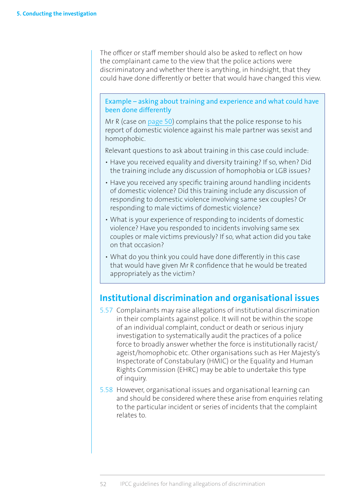The officer or staff member should also be asked to reflect on how the complainant came to the view that the police actions were discriminatory and whether there is anything, in hindsight, that they could have done differently or better that would have changed this view.

Example – asking about training and experience and what could have been done differently

Mr R (case on [page](#page-61-0) 50) complains that the police response to his report of domestic violence against his male partner was sexist and homophobic.

Relevant questions to ask about training in this case could include:

- Have you received equality and diversity training? If so, when? Did the training include any discussion of homophobia or LGB issues?
- Have you received any specific training around handling incidents of domestic violence? Did this training include any discussion of responding to domestic violence involving same sex couples? Or responding to male victims of domestic violence?
- What is your experience of responding to incidents of domestic violence? Have you responded to incidents involving same sex couples or male victims previously? If so, what action did you take on that occasion?
- What do you think you could have done differently in this case that would have given Mr R confidence that he would be treated appropriately as the victim?

# **Institutional discrimination and organisational issues**

- 5.57 Complainants may raise allegations of institutional discrimination in their complaints against police. It will not be within the scope of an individual complaint, conduct or death or serious injury investigation to systematically audit the practices of a police force to broadly answer whether the force is institutionally racist/ ageist/homophobic etc. Other organisations such as Her Majesty's Inspectorate of Constabulary (HMIC) or the Equality and Human Rights Commission (EHRC) may be able to undertake this type of inquiry.
- 5.58 However, organisational issues and organisational learning can and should be considered where these arise from enquiries relating to the particular incident or series of incidents that the complaint relates to.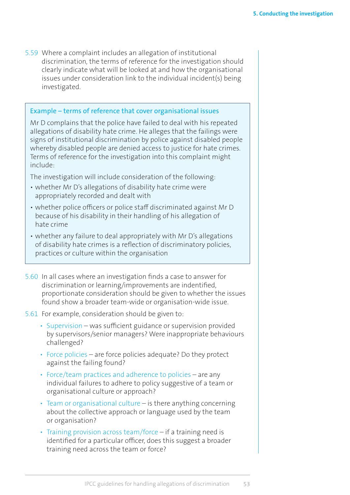<span id="page-64-0"></span>5.59 Where a complaint includes an allegation of institutional discrimination, the terms of reference for the investigation should clearly indicate what will be looked at and how the organisational issues under consideration link to the individual incident(s) being investigated.

#### Example – terms of reference that cover organisational issues

Mr D complains that the police have failed to deal with his repeated allegations of disability hate crime. He alleges that the failings were signs of institutional discrimination by police against disabled people whereby disabled people are denied access to justice for hate crimes. Terms of reference for the investigation into this complaint might include:

The investigation will include consideration of the following:

- whether Mr D's allegations of disability hate crime were appropriately recorded and dealt with
- whether police officers or police staff discriminated against Mr D because of his disability in their handling of his allegation of hate crime
- whether any failure to deal appropriately with Mr D's allegations of disability hate crimes is a reflection of discriminatory policies, practices or culture within the organisation
- 5.60 In all cases where an investigation finds a case to answer for discrimination or learning/improvements are indentified, proportionate consideration should be given to whether the issues found show a broader team-wide or organisation-wide issue.
- 5.61 For example, consideration should be given to:
	- Supervision was sufficient guidance or supervision provided by supervisors/senior managers? Were inappropriate behaviours challenged?
	- Force policies are force policies adequate? Do they protect against the failing found?
	- Force/team practices and adherence to policies are any individual failures to adhere to policy suggestive of a team or organisational culture or approach?
	- Team or organisational culture is there anything concerning about the collective approach or language used by the team or organisation?
	- Training provision across team/force if a training need is identified for a particular officer, does this suggest a broader training need across the team or force?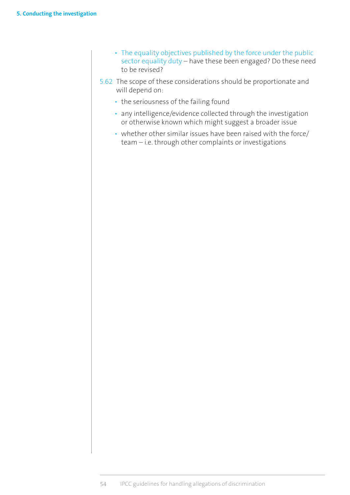- The equality objectives published by the force under the public sector equality duty – have these been engaged? Do these need to be revised?
- 5.62 The scope of these considerations should be proportionate and will depend on:
	- the seriousness of the failing found
	- any intelligence/evidence collected through the investigation or otherwise known which might suggest a broader issue
	- whether other similar issues have been raised with the force/ team – i.e. through other complaints or investigations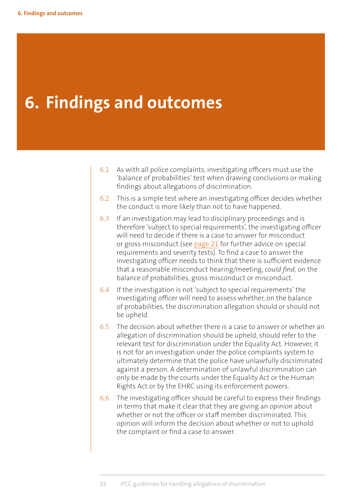# **6. Findings and outcomes**

- 6.1 As with all police complaints, investigating officers must use the 'balance of probabilities' test when drawing conclusions or making findings about allegations of discrimination.
- 6.2 This is a simple test where an investigating officer decides whether the conduct is more likely than not to have happened.
- 6.3 If an investigation may lead to disciplinary proceedings and is therefore 'subject to special requirements', the investigating officer will need to decide if there is a case to answer for misconduct or gross misconduct (see [page](#page-32-0) 21 for further advice on special requirements and severity tests). To find a case to answer the investigating officer needs to think that there is sufficient evidence that a reasonable misconduct hearing/meeting, *could find*, on the balance of probabilities, gross misconduct or misconduct.
- 6.4 If the investigation is not 'subject to special requirements' the investigating officer will need to assess whether, on the balance of probabilities, the discrimination allegation should or should not be upheld.
- 6.5 The decision about whether there is a case to answer or whether an allegation of discrimination should be upheld, should refer to the relevant test for discrimination under the Equality Act. However, it is not for an investigation under the police complaints system to ultimately determine that the police have unlawfully discriminated against a person. A determination of unlawful discrimination can only be made by the courts under the Equality Act or the Human Rights Act or by the EHRC using its enforcement powers.
- 6.6 The investigating officer should be careful to express their findings in terms that make it clear that they are giving an *opinion* about whether or not the officer or staff member discriminated. This opinion will inform the decision about whether or not to uphold the complaint or find a case to answer.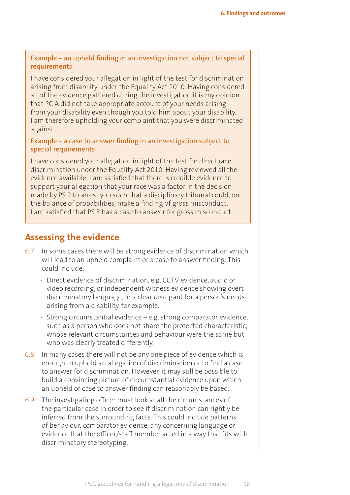#### Example – an upheld finding in an investigation not subject to special requirements

I have considered your allegation in light of the test for discrimination arising from disability under the Equality Act 2010. Having considered all of the evidence gathered during the investigation it is my opinion that PC A did not take appropriate account of your needs arising from your disability even though you told him about your disability. I am therefore upholding your complaint that you were discriminated against.

#### Example – a case to answer finding in an investigation subject to special requirements

I have considered your allegation in light of the test for direct race discrimination under the Equality Act 2010. Having reviewed all the evidence available, I am satisfied that there is credible evidence to support your allegation that your race was a factor in the decision made by PS R to arrest you such that a disciplinary tribunal could, on the balance of probabilities, make a finding of gross misconduct. I am satisfied that PS R has a case to answer for gross misconduct.

# **Assessing the evidence**

- 6.7 In some cases there will be strong evidence of discrimination which will lead to an upheld complaint or a case to answer finding. This could include:
	- Direct evidence of discrimination, e.g. CCTV evidence, audio or video recording, or independent witness evidence showing overt discriminatory language, or a clear disregard for a person's needs arising from a disability, for example.
	- Strong circumstantial evidence e.g. strong comparator evidence, such as a person who does not share the protected characteristic, whose relevant circumstances and behaviour were the same but who was clearly treated differently.
- 6.8 In many cases there will not be any one piece of evidence which is enough to uphold an allegation of discrimination or to find a case to answer for discrimination. However, it may still be possible to build a convincing picture of circumstantial evidence upon which an upheld or case to answer finding can reasonably be based.
- 6.9 The investigating officer must look at all the circumstances of the particular case in order to see if discrimination can rightly be inferred from the surrounding facts. This could include patterns of behaviour, comparator evidence, any concerning language or evidence that the officer/staff member acted in a way that fits with discriminatory stereotyping.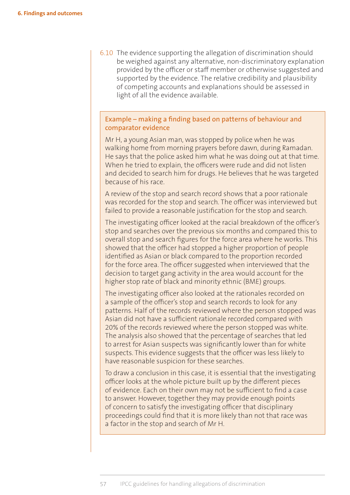<span id="page-68-0"></span>6.10 The evidence supporting the allegation of discrimination should be weighed against any alternative, non-discriminatory explanation provided by the officer or staff member or otherwise suggested and supported by the evidence. The relative credibility and plausibility of competing accounts and explanations should be assessed in light of all the evidence available.

#### Example – making a finding based on patterns of behaviour and comparator evidence

Mr H, a young Asian man, was stopped by police when he was walking home from morning prayers before dawn, during Ramadan. He says that the police asked him what he was doing out at that time. When he tried to explain, the officers were rude and did not listen and decided to search him for drugs. He believes that he was targeted because of his race.

A review of the stop and search record shows that a poor rationale was recorded for the stop and search. The officer was interviewed but failed to provide a reasonable justification for the stop and search.

The investigating officer looked at the racial breakdown of the officer's stop and searches over the previous six months and compared this to overall stop and search figures for the force area where he works. This showed that the officer had stopped a higher proportion of people identified as Asian or black compared to the proportion recorded for the force area. The officer suggested when interviewed that the decision to target gang activity in the area would account for the higher stop rate of black and minority ethnic (BME) groups.

The investigating officer also looked at the rationales recorded on a sample of the officer's stop and search records to look for any patterns. Half of the records reviewed where the person stopped was Asian did not have a sufficient rationale recorded compared with 20% of the records reviewed where the person stopped was white. The analysis also showed that the percentage of searches that led to arrest for Asian suspects was significantly lower than for white suspects. This evidence suggests that the officer was less likely to have reasonable suspicion for these searches.

To draw a conclusion in this case, it is essential that the investigating officer looks at the whole picture built up by the different pieces of evidence. Each on their own may not be sufficient to find a case to answer. However, together they may provide enough points of concern to satisfy the investigating officer that disciplinary proceedings could find that it is more likely than not that race was a factor in the stop and search of Mr H.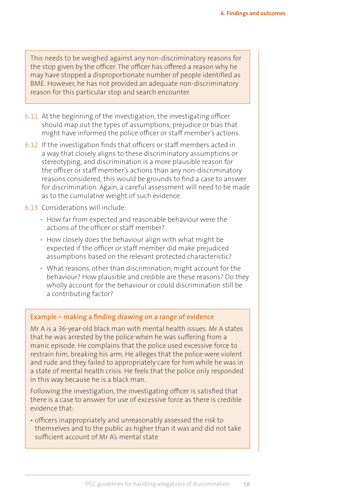<span id="page-69-0"></span>This needs to be weighed against any non-discriminatory reasons for the stop given by the officer. The officer has offered a reason why he may have stopped a disproportionate number of people identified as BME. However, he has not provided an adequate non-discriminatory reason for this particular stop and search encounter.

- 6.11 At the beginning of the investigation, the investigating officer should map out the types of assumptions, prejudice or bias that might have informed the police officer or staff member's actions.
- 6.12 If the investigation finds that officers or staff members acted in a way that closely aligns to these discriminatory assumptions or stereotyping, and discrimination is a more plausible reason for the officer or staff member's actions than any non-discriminatory reasons considered, this would be grounds to find a case to answer for discrimination. Again, a careful assessment will need to be made as to the cumulative weight of such evidence.

#### 6.13 Considerations will include:

- How far from expected and reasonable behaviour were the actions of the officer or staff member?
- How closely does the behaviour align with what might be expected if the officer or staff member did make prejudiced assumptions based on the relevant protected characteristic?
- What reasons, other than discrimination, might account for the behaviour? How plausible and credible are these reasons? Do they wholly account for the behaviour or could discrimination still be a contributing factor?

#### Example – making a finding drawing on a range of evidence

Mr A is a 36-year-old black man with mental health issues. Mr A states that he was arrested by the police when he was suffering from a manic episode. He complains that the police used excessive force to restrain him, breaking his arm. He alleges that the police were violent and rude and they failed to appropriately care for him while he was in a state of mental health crisis. He feels that the police only responded in this way because he is a black man.

Following the investigation, the investigating officer is satisfied that there is a case to answer for use of excessive force as there is credible evidence that:

• officers inappropriately and unreasonably assessed the risk to themselves and to the public as higher than it was and did not take sufficient account of Mr A's mental state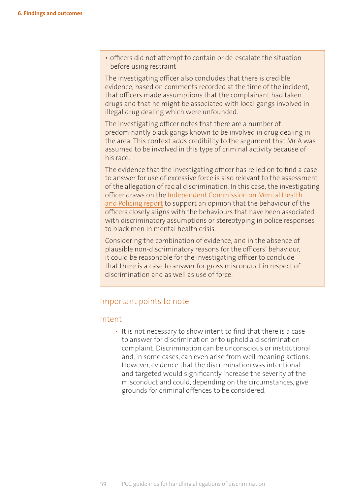• officers did not attempt to contain or de-escalate the situation before using restraint

The investigating officer also concludes that there is credible evidence, based on comments recorded at the time of the incident, that officers made assumptions that the complainant had taken drugs and that he might be associated with local gangs involved in illegal drug dealing which were unfounded.

The investigating officer notes that there are a number of predominantly black gangs known to be involved in drug dealing in the area. This context adds credibility to the argument that Mr A was assumed to be involved in this type of criminal activity because of his race.

The evidence that the investigating officer has relied on to find a case to answer for use of excessive force is also relevant to the assessment of the allegation of racial discrimination. In this case, the investigating officer draws on the [Independent Commission on Mental Health](http://www.turning-point.co.uk/media/621030/independent_commission_on_mental_health_and_policing_main_report.pdf)  [and Policing report](http://www.turning-point.co.uk/media/621030/independent_commission_on_mental_health_and_policing_main_report.pdf) to support an opinion that the behaviour of the officers closely aligns with the behaviours that have been associated with discriminatory assumptions or stereotyping in police responses to black men in mental health crisis.

Considering the combination of evidence, and in the absence of plausible non-discriminatory reasons for the officers' behaviour, it could be reasonable for the investigating officer to conclude that there is a case to answer for gross misconduct in respect of discrimination and as well as use of force.

## Important points to note

#### Intent

• It is not necessary to show intent to find that there is a case to answer for discrimination or to uphold a discrimination complaint. Discrimination can be unconscious or institutional and, in some cases, can even arise from well meaning actions. However, evidence that the discrimination was intentional and targeted would significantly increase the severity of the misconduct and could, depending on the circumstances, give grounds for criminal offences to be considered.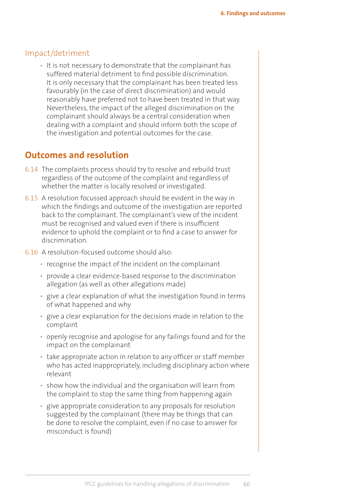#### Impact/detriment

• It is not necessary to demonstrate that the complainant has suffered material detriment to find possible discrimination. It is only necessary that the complainant has been treated less favourably (in the case of direct discrimination) and would reasonably have preferred not to have been treated in that way. Nevertheless, the impact of the alleged discrimination on the complainant should always be a central consideration when dealing with a complaint and should inform both the scope of the investigation and potential outcomes for the case.

# **Outcomes and resolution**

- 6.14 The complaints process should try to resolve and rebuild trust regardless of the outcome of the complaint and regardless of whether the matter is locally resolved or investigated.
- 6.15 A resolution focussed approach should be evident in the way in which the findings and outcome of the investigation are reported back to the complainant. The complainant's view of the incident must be recognised and valued even if there is insufficient evidence to uphold the complaint or to find a case to answer for discrimination.
- 6.16 A resolution-focused outcome should also:
	- recognise the impact of the incident on the complainant
	- provide a clear evidence-based response to the discrimination allegation (as well as other allegations made)
	- give a clear explanation of what the investigation found in terms of what happened and why
	- give a clear explanation for the decisions made in relation to the complaint
	- openly recognise and apologise for any failings found and for the impact on the complainant
	- take appropriate action in relation to any officer or staff member who has acted inappropriately, including disciplinary action where relevant
	- show how the individual and the organisation will learn from the complaint to stop the same thing from happening again
	- give appropriate consideration to any proposals for resolution suggested by the complainant (there may be things that can be done to resolve the complaint, even if no case to answer for misconduct is found)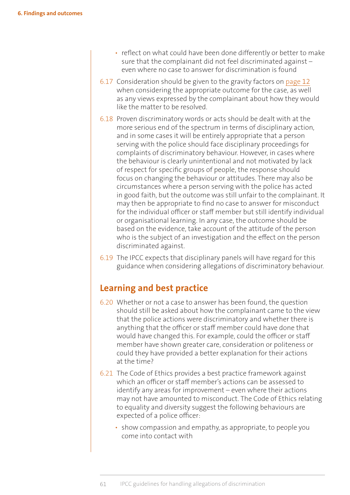- reflect on what could have been done differently or better to make sure that the complainant did not feel discriminated against – even where no case to answer for discrimination is found
- 6.17 Consideration should be given to the gravity factors on [page](#page-23-0) 12 when considering the appropriate outcome for the case, as well as any views expressed by the complainant about how they would like the matter to be resolved.
- 6.18 Proven discriminatory words or acts should be dealt with at the more serious end of the spectrum in terms of disciplinary action, and in some cases it will be entirely appropriate that a person serving with the police should face disciplinary proceedings for complaints of discriminatory behaviour. However, in cases where the behaviour is clearly unintentional and not motivated by lack of respect for specific groups of people, the response should focus on changing the behaviour or attitudes. There may also be circumstances where a person serving with the police has acted in good faith, but the outcome was still unfair to the complainant. It may then be appropriate to find no case to answer for misconduct for the individual officer or staff member but still identify individual or organisational learning. In any case, the outcome should be based on the evidence, take account of the attitude of the person who is the subject of an investigation and the effect on the person discriminated against.
- 6.19 The IPCC expects that disciplinary panels will have regard for this guidance when considering allegations of discriminatory behaviour.

# **Learning and best practice**

- 6.20 Whether or not a case to answer has been found, the question should still be asked about how the complainant came to the view that the police actions were discriminatory and whether there is anything that the officer or staff member could have done that would have changed this. For example, could the officer or staff member have shown greater care, consideration or politeness or could they have provided a better explanation for their actions at the time?
- 6.21 The Code of Ethics provides a best practice framework against which an officer or staff member's actions can be assessed to identify any areas for improvement – even where their actions may not have amounted to misconduct. The Code of Ethics relating to equality and diversity suggest the following behaviours are expected of a police officer:
	- show compassion and empathy, as appropriate, to people you come into contact with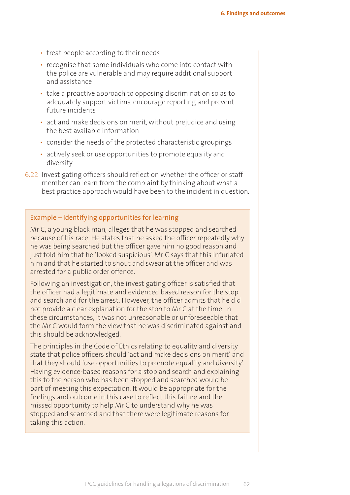- treat people according to their needs
- recognise that some individuals who come into contact with the police are vulnerable and may require additional support and assistance
- take a proactive approach to opposing discrimination so as to adequately support victims, encourage reporting and prevent future incidents
- act and make decisions on merit, without prejudice and using the best available information
- consider the needs of the protected characteristic groupings
- actively seek or use opportunities to promote equality and diversity
- 6.22 Investigating officers should reflect on whether the officer or staff member can learn from the complaint by thinking about what a best practice approach would have been to the incident in question.

#### Example – identifying opportunities for learning

Mr C, a young black man, alleges that he was stopped and searched because of his race. He states that he asked the officer repeatedly why he was being searched but the officer gave him no good reason and just told him that he 'looked suspicious'. Mr C says that this infuriated him and that he started to shout and swear at the officer and was arrested for a public order offence.

Following an investigation, the investigating officer is satisfied that the officer had a legitimate and evidenced based reason for the stop and search and for the arrest. However, the officer admits that he did not provide a clear explanation for the stop to Mr C at the time. In these circumstances, it was not unreasonable or unforeseeable that the Mr C would form the view that he was discriminated against and this should be acknowledged.

The principles in the Code of Ethics relating to equality and diversity state that police officers should 'act and make decisions on merit' and that they should 'use opportunities to promote equality and diversity'. Having evidence-based reasons for a stop and search and explaining this to the person who has been stopped and searched would be part of meeting this expectation. It would be appropriate for the findings and outcome in this case to reflect this failure and the missed opportunity to help Mr C to understand why he was stopped and searched and that there were legitimate reasons for taking this action.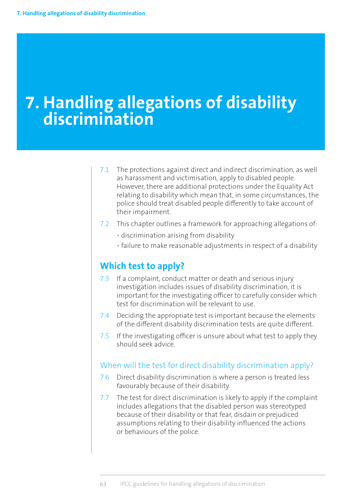# **7. Handling allegations of disability discrimination**

- 7.1 The protections against direct and indirect discrimination, as well as harassment and victimisation, apply to disabled people. However, there are additional protections under the Equality Act relating to disability which mean that, in some circumstances, the police should treat disabled people differently to take account of their impairment.
- 7.2 This chapter outlines a framework for approaching allegations of:
	- discrimination arising from disability
	- failure to make reasonable adjustments in respect of a disability

## **Which test to apply?**

- 7.3 If a complaint, conduct matter or death and serious injury investigation includes issues of disability discrimination, it is important for the investigating officer to carefully consider which test for discrimination will be relevant to use.
- 7.4 Deciding the appropriate test is important because the elements of the different disability discrimination tests are quite different.
- 7.5 If the investigating officer is unsure about what test to apply they should seek advice.

#### When will the test for direct disability discrimination apply?

- 7.6 Direct disability discrimination is where a person is treated less favourably because of their disability.
- 7.7 The test for direct discrimination is likely to apply if the complaint includes allegations that the disabled person was stereotyped because of their disability or that fear, disdain or prejudiced assumptions relating to their disability influenced the actions or behaviours of the police.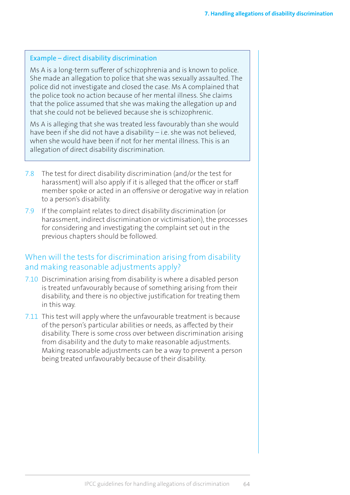#### Example – direct disability discrimination

Ms A is a long-term sufferer of schizophrenia and is known to police. She made an allegation to police that she was sexually assaulted. The police did not investigate and closed the case. Ms A complained that the police took no action because of her mental illness. She claims that the police assumed that she was making the allegation up and that she could not be believed because she is schizophrenic.

Ms A is alleging that she was treated less favourably than she would have been if she did not have a disability – i.e. she was not believed, when she would have been if not for her mental illness. This is an allegation of direct disability discrimination.

- 7.8 The test for direct disability discrimination (and/or the test for harassment) will also apply if it is alleged that the officer or staff member spoke or acted in an offensive or derogative way in relation to a person's disability.
- 7.9 If the complaint relates to direct disability discrimination (or harassment, indirect discrimination or victimisation), the processes for considering and investigating the complaint set out in the previous chapters should be followed.

#### When will the tests for discrimination arising from disability and making reasonable adjustments apply?

- 7.10 Discrimination arising from disability is where a disabled person is treated unfavourably because of something arising from their disability, and there is no objective justification for treating them in this way.
- 7.11 This test will apply where the unfavourable treatment is because of the person's particular abilities or needs, as affected by their disability. There is some cross over between discrimination arising from disability and the duty to make reasonable adjustments. Making reasonable adjustments can be a way to prevent a person being treated unfavourably because of their disability.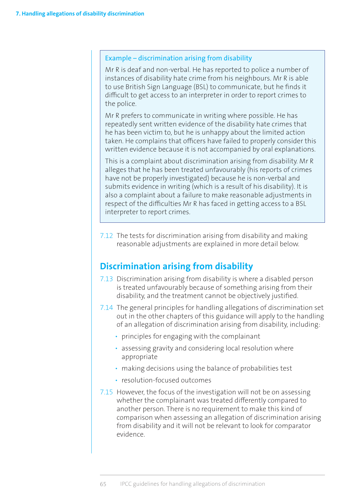#### Example – discrimination arising from disability

Mr R is deaf and non-verbal. He has reported to police a number of instances of disability hate crime from his neighbours. Mr R is able to use British Sign Language (BSL) to communicate, but he finds it difficult to get access to an interpreter in order to report crimes to the police.

Mr R prefers to communicate in writing where possible. He has repeatedly sent written evidence of the disability hate crimes that he has been victim to, but he is unhappy about the limited action taken. He complains that officers have failed to properly consider this written evidence because it is not accompanied by oral explanations.

This is a complaint about discrimination arising from disability. Mr R alleges that he has been treated unfavourably (his reports of crimes have not be properly investigated) because he is non-verbal and submits evidence in writing (which is a result of his disability). It is also a complaint about a failure to make reasonable adjustments in respect of the difficulties Mr R has faced in getting access to a BSL interpreter to report crimes.

7.12 The tests for discrimination arising from disability and making reasonable adjustments are explained in more detail below.

# **Discrimination arising from disability**

- 7.13 Discrimination arising from disability is where a disabled person is treated unfavourably because of something arising from their disability, and the treatment cannot be objectively justified.
- 7.14 The general principles for handling allegations of discrimination set out in the other chapters of this guidance will apply to the handling of an allegation of discrimination arising from disability, including:
	- principles for engaging with the complainant
	- assessing gravity and considering local resolution where appropriate
	- making decisions using the balance of probabilities test
	- resolution-focused outcomes
- 7.15 However, the focus of the investigation will not be on assessing whether the complainant was treated differently compared to another person. There is no requirement to make this kind of comparison when assessing an allegation of discrimination arising from disability and it will not be relevant to look for comparator evidence.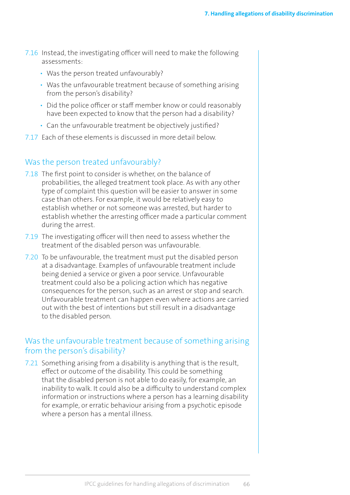- 7.16 Instead, the investigating officer will need to make the following assessments:
	- Was the person treated unfavourably?
	- Was the unfavourable treatment because of something arising from the person's disability?
	- Did the police officer or staff member know or could reasonably have been expected to know that the person had a disability?
	- Can the unfavourable treatment be objectively justified?
- 7.17 Each of these elements is discussed in more detail below.

#### Was the person treated unfavourably?

- 7.18 The first point to consider is whether, on the balance of probabilities, the alleged treatment took place. As with any other type of complaint this question will be easier to answer in some case than others. For example, it would be relatively easy to establish whether or not someone was arrested, but harder to establish whether the arresting officer made a particular comment during the arrest.
- 7.19 The investigating officer will then need to assess whether the treatment of the disabled person was unfavourable.
- 7.20 To be unfavourable, the treatment must put the disabled person at a disadvantage. Examples of unfavourable treatment include being denied a service or given a poor service. Unfavourable treatment could also be a policing action which has negative consequences for the person, such as an arrest or stop and search. Unfavourable treatment can happen even where actions are carried out with the best of intentions but still result in a disadvantage to the disabled person.

#### Was the unfavourable treatment because of something arising from the person's disability?

7.21 Something arising from a disability is anything that is the result, effect or outcome of the disability. This could be something that the disabled person is not able to do easily, for example, an inability to walk. It could also be a difficulty to understand complex information or instructions where a person has a learning disability for example, or erratic behaviour arising from a psychotic episode where a person has a mental illness.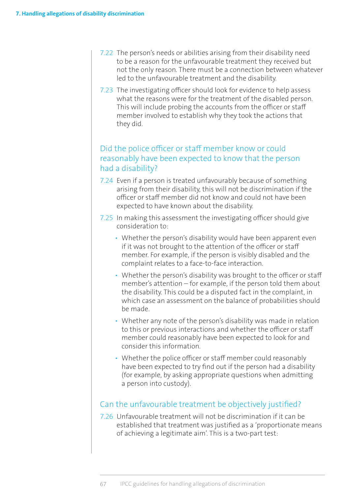- 7.22 The person's needs or abilities arising from their disability need to be a reason for the unfavourable treatment they received but not the only reason. There must be a connection between whatever led to the unfavourable treatment and the disability.
- 7.23 The investigating officer should look for evidence to help assess what the reasons were for the treatment of the disabled person. This will include probing the accounts from the officer or staff member involved to establish why they took the actions that they did.

#### Did the police officer or staff member know or could reasonably have been expected to know that the person had a disability?

- 7.24 Even if a person is treated unfavourably because of something arising from their disability, this will not be discrimination if the officer or staff member did not know and could not have been expected to have known about the disability.
- 7.25 In making this assessment the investigating officer should give consideration to:
	- Whether the person's disability would have been apparent even if it was not brought to the attention of the officer or staff member. For example, if the person is visibly disabled and the complaint relates to a face-to-face interaction.
	- Whether the person's disability was brought to the officer or staff member's attention – for example, if the person told them about the disability. This could be a disputed fact in the complaint, in which case an assessment on the balance of probabilities should be made.
	- Whether any note of the person's disability was made in relation to this or previous interactions and whether the officer or staff member could reasonably have been expected to look for and consider this information.
	- Whether the police officer or staff member could reasonably have been expected to try find out if the person had a disability (for example, by asking appropriate questions when admitting a person into custody).

## Can the unfavourable treatment be objectively justified?

7.26 Unfavourable treatment will not be discrimination if it can be established that treatment was justified as a 'proportionate means of achieving a legitimate aim'. This is a two-part test: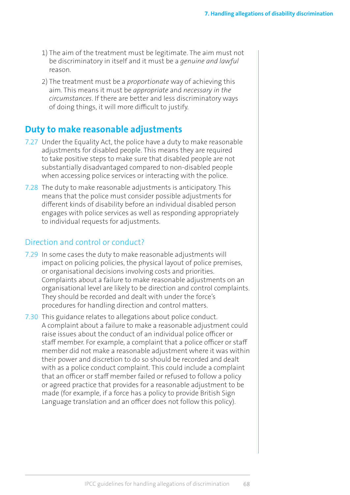- 1) The aim of the treatment must be legitimate. The aim must not be discriminatory in itself and it must be a *genuine and lawful* reason.
- 2) The treatment must be a *proportionate* way of achieving this aim. This means it must be *appropriate* and *necessary in the circumstances*. If there are better and less discriminatory ways of doing things, it will more difficult to justify.

# **Duty to make reasonable adjustments**

- 7.27 Under the Equality Act, the police have a duty to make reasonable adjustments for disabled people. This means they are required to take positive steps to make sure that disabled people are not substantially disadvantaged compared to non-disabled people when accessing police services or interacting with the police.
- 7.28 The duty to make reasonable adjustments is anticipatory. This means that the police must consider possible adjustments for different kinds of disability before an individual disabled person engages with police services as well as responding appropriately to individual requests for adjustments.

#### Direction and control or conduct?

- 7.29 In some cases the duty to make reasonable adjustments will impact on policing policies, the physical layout of police premises, or organisational decisions involving costs and priorities. Complaints about a failure to make reasonable adjustments on an organisational level are likely to be direction and control complaints. They should be recorded and dealt with under the force's procedures for handling direction and control matters.
- 7.30 This guidance relates to allegations about police conduct. A complaint about a failure to make a reasonable adjustment could raise issues about the conduct of an individual police officer or staff member. For example, a complaint that a police officer or staff member did not make a reasonable adjustment where it was within their power and discretion to do so should be recorded and dealt with as a police conduct complaint. This could include a complaint that an officer or staff member failed or refused to follow a policy or agreed practice that provides for a reasonable adjustment to be made (for example, if a force has a policy to provide British Sign Language translation and an officer does not follow this policy).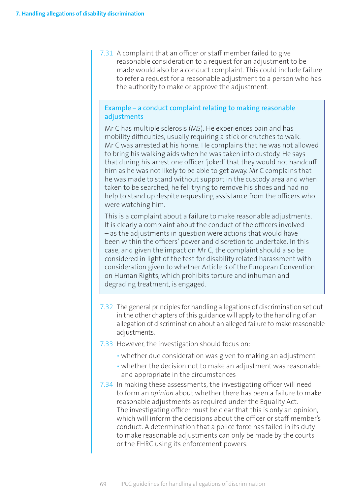7.31 A complaint that an officer or staff member failed to give reasonable consideration to a request for an adjustment to be made would also be a conduct complaint. This could include failure to refer a request for a reasonable adjustment to a person who has the authority to make or approve the adjustment.

#### Example – a conduct complaint relating to making reasonable adjustments

Mr C has multiple sclerosis (MS). He experiences pain and has mobility difficulties, usually requiring a stick or crutches to walk. Mr C was arrested at his home. He complains that he was not allowed to bring his walking aids when he was taken into custody. He says that during his arrest one officer 'joked' that they would not handcuff him as he was not likely to be able to get away. Mr C complains that he was made to stand without support in the custody area and when taken to be searched, he fell trying to remove his shoes and had no help to stand up despite requesting assistance from the officers who were watching him.

This is a complaint about a failure to make reasonable adjustments. It is clearly a complaint about the conduct of the officers involved – as the adjustments in question were actions that would have been within the officers' power and discretion to undertake. In this case, and given the impact on Mr C, the complaint should also be considered in light of the test for disability related harassment with consideration given to whether Article 3 of the European Convention on Human Rights, which prohibits torture and inhuman and degrading treatment, is engaged.

- 7.32 The general principles for handling allegations of discrimination set out in the other chapters of this guidance will apply to the handling of an allegation of discrimination about an alleged failure to make reasonable adjustments.
- 7.33 However, the investigation should focus on:
	- whether due consideration was given to making an adjustment
	- whether the decision not to make an adjustment was reasonable and appropriate in the circumstances
- 7.34 In making these assessments, the investigating officer will need to form an *opinion* about whether there has been a failure to make reasonable adjustments as required under the Equality Act. The investigating officer must be clear that this is only an opinion, which will inform the decisions about the officer or staff member's conduct. A determination that a police force has failed in its duty to make reasonable adjustments can only be made by the courts or the EHRC using its enforcement powers.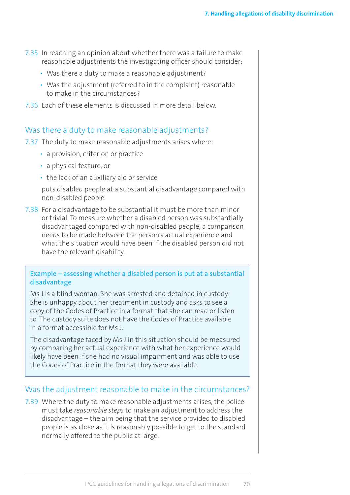- 7.35 In reaching an opinion about whether there was a failure to make reasonable adjustments the investigating officer should consider:
	- Was there a duty to make a reasonable adjustment?
	- Was the adjustment (referred to in the complaint) reasonable to make in the circumstances?
- 7.36 Each of these elements is discussed in more detail below.

#### Was there a duty to make reasonable adjustments?

7.37 The duty to make reasonable adjustments arises where:

- a provision, criterion or practice
- a physical feature, or
- the lack of an auxiliary aid or service

puts disabled people at a substantial disadvantage compared with non-disabled people.

7.38 For a disadvantage to be substantial it must be more than minor or trivial. To measure whether a disabled person was substantially disadvantaged compared with non-disabled people, a comparison needs to be made between the person's actual experience and what the situation would have been if the disabled person did not have the relevant disability.

Example – assessing whether a disabled person is put at a substantial disadvantage

Ms J is a blind woman. She was arrested and detained in custody. She is unhappy about her treatment in custody and asks to see a copy of the Codes of Practice in a format that she can read or listen to. The custody suite does not have the Codes of Practice available in a format accessible for Ms J.

The disadvantage faced by Ms J in this situation should be measured by comparing her actual experience with what her experience would likely have been if she had no visual impairment and was able to use the Codes of Practice in the format they were available.

#### Was the adjustment reasonable to make in the circumstances?

7.39 Where the duty to make reasonable adjustments arises, the police must take *reasonable steps* to make an adjustment to address the disadvantage – the aim being that the service provided to disabled people is as close as it is reasonably possible to get to the standard normally offered to the public at large.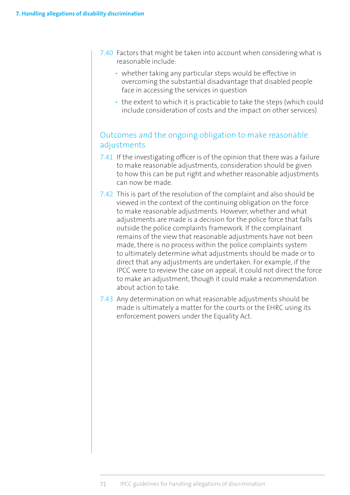- 7.40 Factors that might be taken into account when considering what is reasonable include:
	- whether taking any particular steps would be effective in overcoming the substantial disadvantage that disabled people face in accessing the services in question
	- the extent to which it is practicable to take the steps (which could include consideration of costs and the impact on other services)

### Outcomes and the ongoing obligation to make reasonable adjustments

- 7.41 If the investigating officer is of the opinion that there was a failure to make reasonable adjustments, consideration should be given to how this can be put right and whether reasonable adjustments can now be made.
- 7.42 This is part of the resolution of the complaint and also should be viewed in the context of the continuing obligation on the force to make reasonable adjustments. However, whether and what adjustments are made is a decision for the police force that falls outside the police complaints framework. If the complainant remains of the view that reasonable adjustments have not been made, there is no process within the police complaints system to ultimately determine what adjustments should be made or to direct that any adjustments are undertaken. For example, if the IPCC were to review the case on appeal, it could not direct the force to make an adjustment, though it could make a recommendation about action to take.
- 7.43 Any determination on what reasonable adjustments should be made is ultimately a matter for the courts or the EHRC using its enforcement powers under the Equality Act.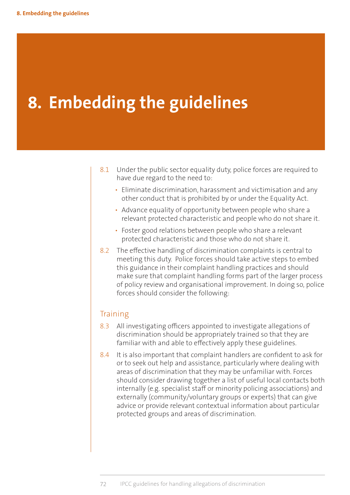# **8. Embedding the guidelines**

- 8.1 Under the public sector equality duty, police forces are required to have due regard to the need to:
	- Eliminate discrimination, harassment and victimisation and any other conduct that is prohibited by or under the Equality Act.
	- Advance equality of opportunity between people who share a relevant protected characteristic and people who do not share it.
	- Foster good relations between people who share a relevant protected characteristic and those who do not share it.
- 8.2 The effective handling of discrimination complaints is central to meeting this duty. Police forces should take active steps to embed this guidance in their complaint handling practices and should make sure that complaint handling forms part of the larger process of policy review and organisational improvement. In doing so, police forces should consider the following:

#### **Training**

- 8.3 All investigating officers appointed to investigate allegations of discrimination should be appropriately trained so that they are familiar with and able to effectively apply these guidelines.
- 8.4 It is also important that complaint handlers are confident to ask for or to seek out help and assistance, particularly where dealing with areas of discrimination that they may be unfamiliar with. Forces should consider drawing together a list of useful local contacts both internally (e.g. specialist staff or minority policing associations) and externally (community/voluntary groups or experts) that can give advice or provide relevant contextual information about particular protected groups and areas of discrimination.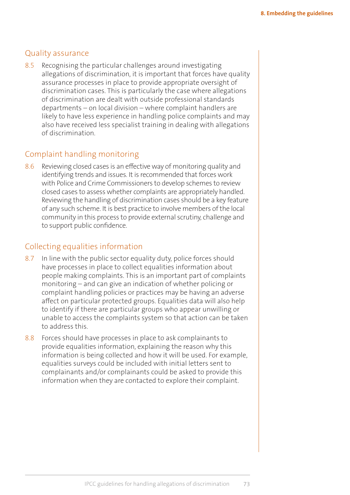#### Quality assurance

8.5 Recognising the particular challenges around investigating allegations of discrimination, it is important that forces have quality assurance processes in place to provide appropriate oversight of discrimination cases. This is particularly the case where allegations of discrimination are dealt with outside professional standards departments – on local division – where complaint handlers are likely to have less experience in handling police complaints and may also have received less specialist training in dealing with allegations of discrimination.

#### Complaint handling monitoring

8.6 Reviewing closed cases is an effective way of monitoring quality and identifying trends and issues. It is recommended that forces work with Police and Crime Commissioners to develop schemes to review closed cases to assess whether complaints are appropriately handled. Reviewing the handling of discrimination cases should be a key feature of any such scheme. It is best practice to involve members of the local community in this process to provide external scrutiny, challenge and to support public confidence.

### Collecting equalities information

- 8.7 In line with the public sector equality duty, police forces should have processes in place to collect equalities information about people making complaints. This is an important part of complaints monitoring – and can give an indication of whether policing or complaint handling policies or practices may be having an adverse affect on particular protected groups. Equalities data will also help to identify if there are particular groups who appear unwilling or unable to access the complaints system so that action can be taken to address this.
- 8.8 Forces should have processes in place to ask complainants to provide equalities information, explaining the reason why this information is being collected and how it will be used. For example, equalities surveys could be included with initial letters sent to complainants and/or complainants could be asked to provide this information when they are contacted to explore their complaint.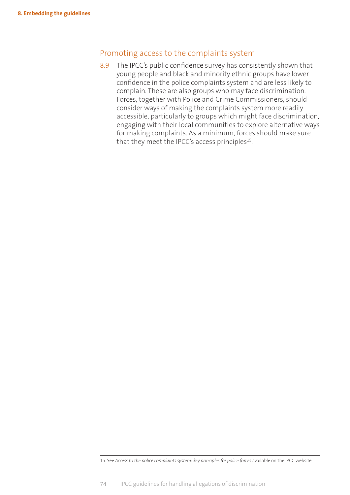#### Promoting access to the complaints system

8.9 The IPCC's public confidence survey has consistently shown that young people and black and minority ethnic groups have lower confidence in the police complaints system and are less likely to complain. These are also groups who may face discrimination. Forces, together with Police and Crime Commissioners, should consider ways of making the complaints system more readily accessible, particularly to groups which might face discrimination, engaging with their local communities to explore alternative ways for making complaints. As a minimum, forces should make sure that they meet the IPCC's access principles<sup>15</sup>.

15. See *Access to the police complaints system: key principles for police forces* available on the IPCC website.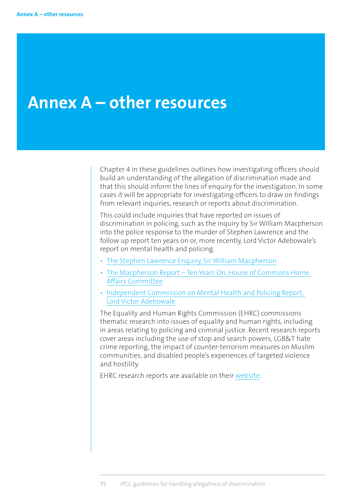# **Annex A – other resources**

Chapter 4 in these guidelines outlines how investigating officers should build an understanding of the allegation of discrimination made and that this should inform the lines of enquiry for the investigation. In some cases it will be appropriate for investigating officers to draw on findings from relevant inquiries, research or reports about discrimination.

This could include inquiries that have reported on issues of discrimination in policing, such as the inquiry by Sir William Macpherson into the police response to the murder of Stephen Lawrence and the follow up report ten years on or, more recently, Lord Victor Adebowale's report on mental health and policing.

- [The Stephen Lawrence Enquiry, Sir William Macpherson](https://www.gov.uk/government/publications/the-stephen-lawrence-inquiry)
- [The Macpherson Report Ten Years On, House of Commons Home](http://www.publications.parliament.uk/pa/cm200809/cmselect/cmhaff/427/427.pdf)  [Affairs Committee](http://www.publications.parliament.uk/pa/cm200809/cmselect/cmhaff/427/427.pdf)
- [Independent Commission on Mental Health and Policing Report,](http://www.turning-point.co.uk/media/621030/independent_commission_on_mental_health_and_policing_main_report.pdf)  [Lord Victor Adebowale](http://www.turning-point.co.uk/media/621030/independent_commission_on_mental_health_and_policing_main_report.pdf)

The Equality and Human Rights Commission (EHRC) commissions thematic research into issues of equality and human rights, including in areas relating to policing and criminal justice. Recent research reports cover areas including the use of stop and search powers, LGB&T hate crime reporting, the impact of counter-terrorism measures on Muslim communities, and disabled people's experiences of targeted violence and hostility.

[EHRC research reports are available on their website.](http://www.equalityhumanrights.com/publications/our-research/research-reports)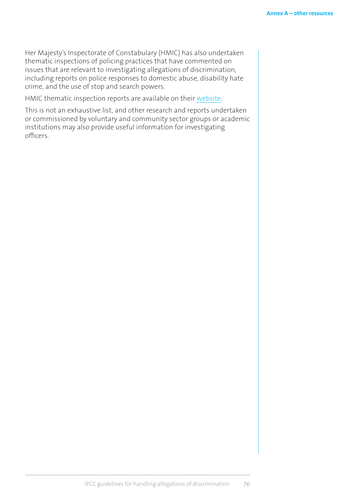Her Majesty's Inspectorate of Constabulary (HMIC) has also undertaken thematic inspections of policing practices that have commented on issues that are relevant to investigating allegations of discrimination, including reports on police responses to domestic abuse, disability hate crime, and the use of stop and search powers.

[HMIC thematic inspection reports are available on their website.](http://www.justiceinspectorates.gov.uk/hmic/our-work/thematic-inspections/) 

This is not an exhaustive list, and other research and reports undertaken or commissioned by voluntary and community sector groups or academic institutions may also provide useful information for investigating officers.